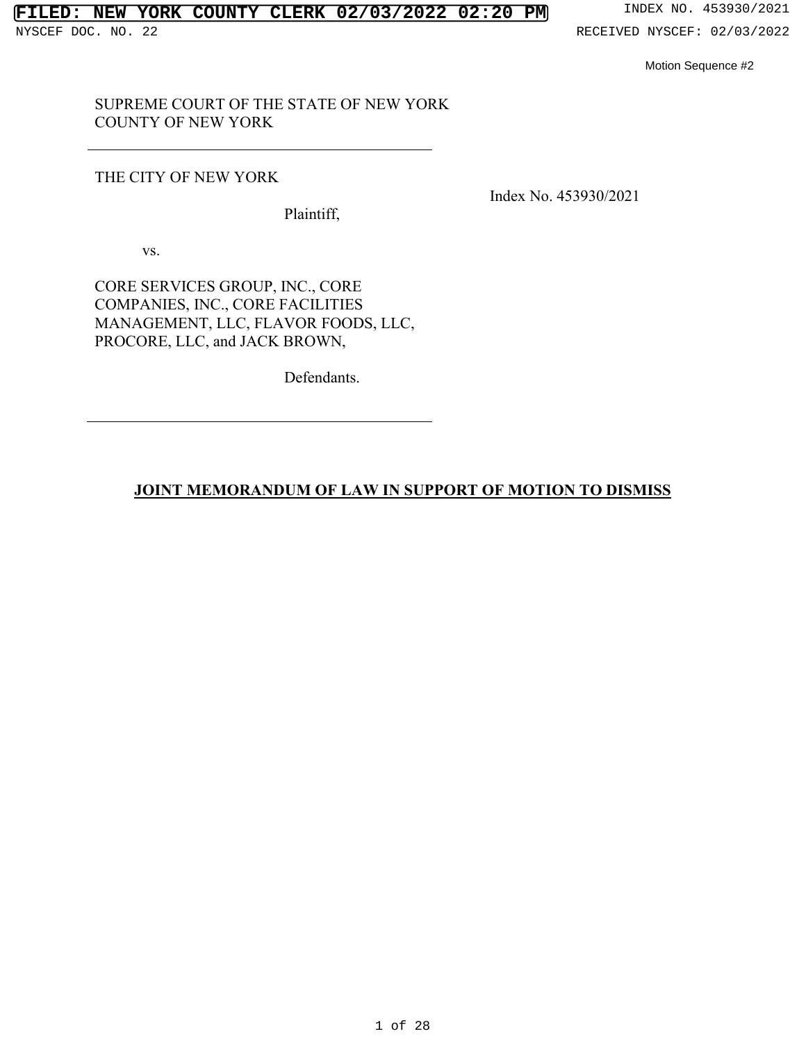### **FILED: NEW YORK COUNTY CLERK 02/03/2022 02:20 PM** INDEX NO. 453930/2021

# SUPREME COURT OF THE STATE OF NEW YORK SUPREME COURT OF THE STATE OF NEW YORK COUNTY OF NEW YORK COUNTY OF NEW YORK THE CITY OF NEW YORK Plaintiff,

#### THE CITY OF NEW YORK

Plaintiff,

Index No. 453930/2021 Index No. 453930/2021

VS. vs.

CORE SERVICES GROUP, INC., CORE COMPANIES, INC., CORE FACILITIES CORE SERVICES GROUP, INC., CORE<br>COMPANIES, INC., CORE FACILITIES<br>MANAGEMENT, LLC, FLAVOR FOODS, LLC, PROCORE, LLC, and JACK BROWN, PROCORE, LLC, and JACK BROWN, Defendants. Motion Sequence #2<br> **JOINT OF NEW YORK**<br>
JOINT OF NEW YORK<br>
Plaintiff,<br>
VS.<br>
Plaintiff,<br>
VS.<br>
PLAYICES GROUP, INC., CORE<br>
PAINES, INC., CORE FACILITIES<br>
AGEMENT, LLC, FLAYOR FOODS, LLC,<br>
ORE, LLC, and JACK BROWN,<br>
Defendan

Defendants.

#### JOINT MEMORANDUM OF LAW IN SUPPORT OF MOTION TO DISMISS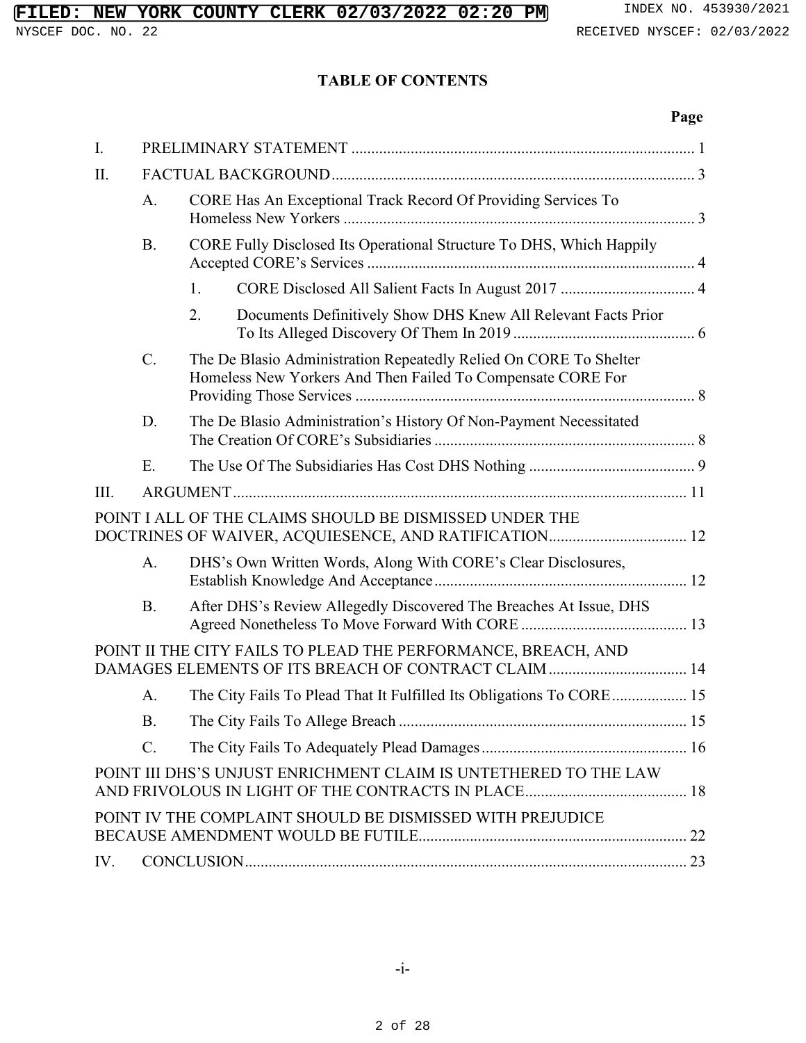# **FILED: NEW YORK COUNTY CLERK 02/03/2022 02:20 PM** INDEX NO. 453930/2021<br>NYSCEF DOC. NO. 22<br>RECEIVED NYSCEF: 02/03/2022

#### TABLE OF CONTENTS **TABLE OF CONTENTS**

#### Page **Page**

| I.                                                                                                                    |                                                                                   |                                                                                                                                  |  |  |
|-----------------------------------------------------------------------------------------------------------------------|-----------------------------------------------------------------------------------|----------------------------------------------------------------------------------------------------------------------------------|--|--|
| II.                                                                                                                   |                                                                                   |                                                                                                                                  |  |  |
|                                                                                                                       | CORE Has An Exceptional Track Record Of Providing Services To<br>A.               |                                                                                                                                  |  |  |
|                                                                                                                       | CORE Fully Disclosed Its Operational Structure To DHS, Which Happily<br><b>B.</b> |                                                                                                                                  |  |  |
|                                                                                                                       |                                                                                   | 1.                                                                                                                               |  |  |
|                                                                                                                       |                                                                                   | 2.<br>Documents Definitively Show DHS Knew All Relevant Facts Prior                                                              |  |  |
|                                                                                                                       | C.                                                                                | The De Blasio Administration Repeatedly Relied On CORE To Shelter<br>Homeless New Yorkers And Then Failed To Compensate CORE For |  |  |
|                                                                                                                       | D.                                                                                | The De Blasio Administration's History Of Non-Payment Necessitated                                                               |  |  |
|                                                                                                                       | Ε.                                                                                |                                                                                                                                  |  |  |
| III.                                                                                                                  |                                                                                   |                                                                                                                                  |  |  |
| POINT I ALL OF THE CLAIMS SHOULD BE DISMISSED UNDER THE                                                               |                                                                                   |                                                                                                                                  |  |  |
|                                                                                                                       | A.                                                                                | DHS's Own Written Words, Along With CORE's Clear Disclosures,                                                                    |  |  |
|                                                                                                                       | <b>B.</b>                                                                         | After DHS's Review Allegedly Discovered The Breaches At Issue, DHS                                                               |  |  |
| POINT II THE CITY FAILS TO PLEAD THE PERFORMANCE, BREACH, AND<br>DAMAGES ELEMENTS OF ITS BREACH OF CONTRACT CLAIM  14 |                                                                                   |                                                                                                                                  |  |  |
|                                                                                                                       | A.                                                                                | The City Fails To Plead That It Fulfilled Its Obligations To CORE 15                                                             |  |  |
|                                                                                                                       | Β.                                                                                |                                                                                                                                  |  |  |
|                                                                                                                       | $\mathcal{C}$ .                                                                   |                                                                                                                                  |  |  |
| POINT III DHS'S UNJUST ENRICHMENT CLAIM IS UNTETHERED TO THE LAW                                                      |                                                                                   |                                                                                                                                  |  |  |
| POINT IV THE COMPLAINT SHOULD BE DISMISSED WITH PREJUDICE                                                             |                                                                                   |                                                                                                                                  |  |  |
| IV.                                                                                                                   |                                                                                   |                                                                                                                                  |  |  |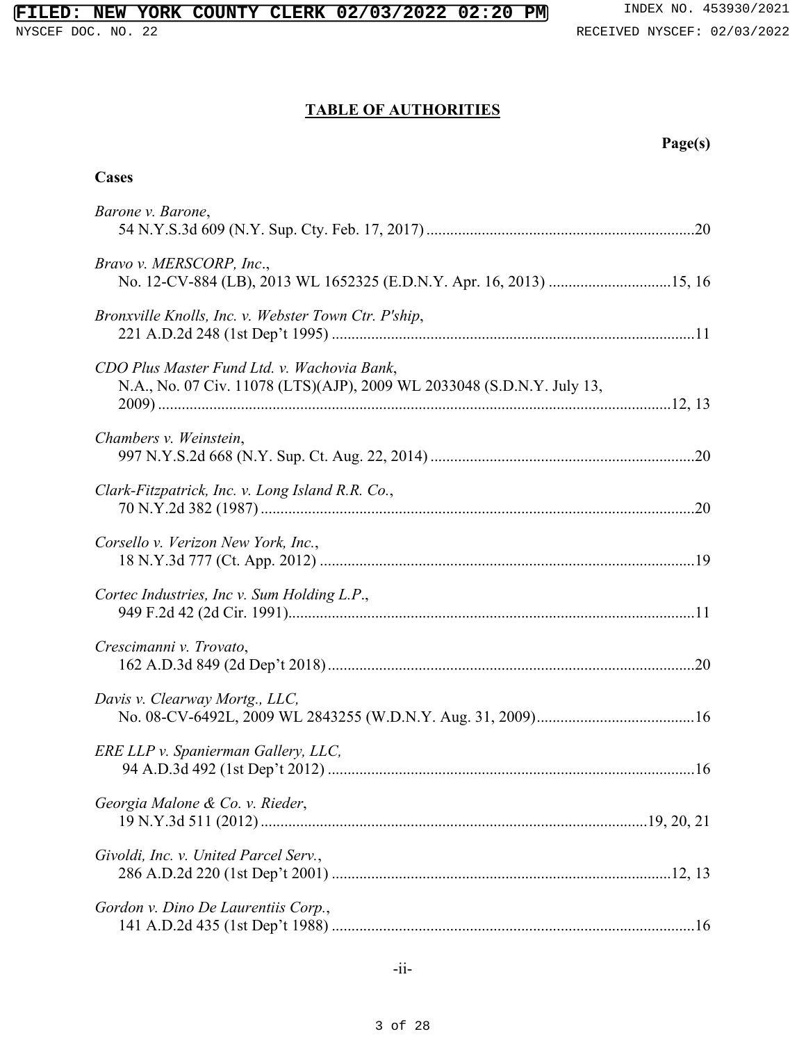# TABLE OF AUTHORITIES **TABLE OF AUTHORITIES Page(s) Cases**

#### Page(s)

#### **Cases**

| Barone v. Barone,                                                                                                     |
|-----------------------------------------------------------------------------------------------------------------------|
| Bravo v. MERSCORP, Inc.,<br>No. 12-CV-884 (LB), 2013 WL 1652325 (E.D.N.Y. Apr. 16, 2013) 15, 16                       |
| Bronxville Knolls, Inc. v. Webster Town Ctr. P'ship,                                                                  |
| CDO Plus Master Fund Ltd. v. Wachovia Bank,<br>N.A., No. 07 Civ. 11078 (LTS)(AJP), 2009 WL 2033048 (S.D.N.Y. July 13, |
| Chambers v. Weinstein,                                                                                                |
| Clark-Fitzpatrick, Inc. v. Long Island R.R. Co.,                                                                      |
| Corsello v. Verizon New York, Inc.,                                                                                   |
| Cortec Industries, Inc v. Sum Holding L.P.,                                                                           |
| Crescimanni v. Trovato,                                                                                               |
| Davis v. Clearway Mortg., LLC,                                                                                        |
| ERE LLP v. Spanierman Gallery, LLC,                                                                                   |
| Georgia Malone & Co. v. Rieder,                                                                                       |
| Givoldi, Inc. v. United Parcel Serv.,                                                                                 |
| Gordon v. Dino De Laurentiis Corp.,                                                                                   |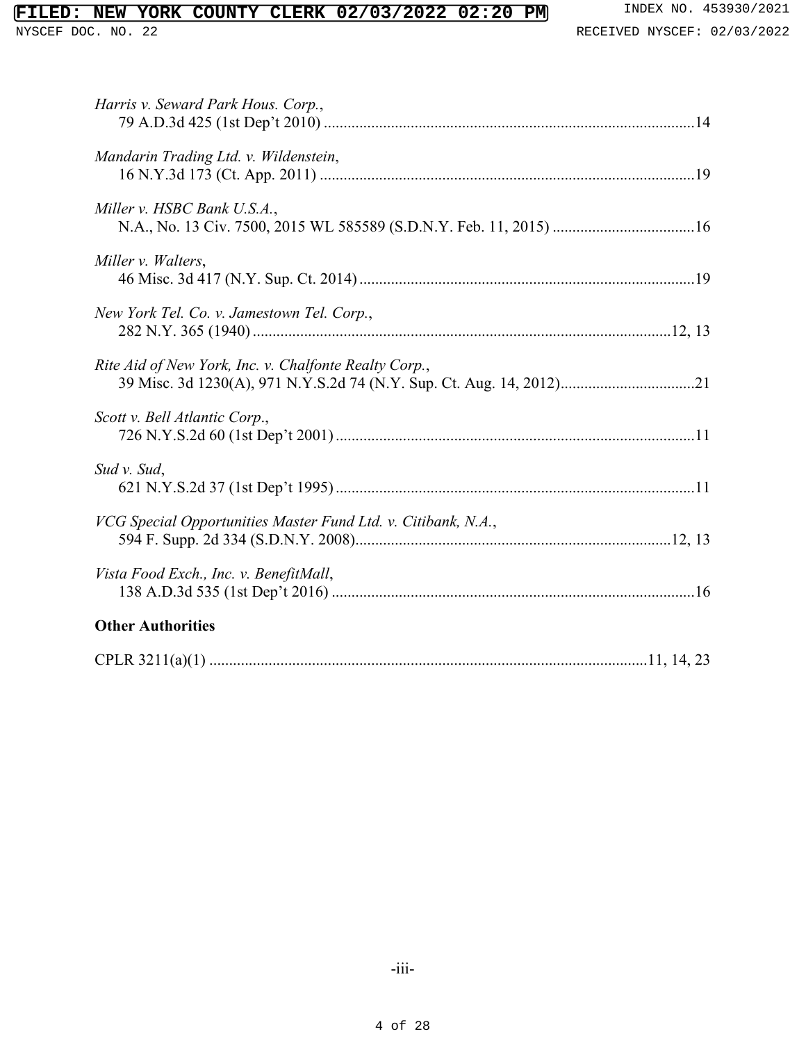| FILED: NEW YORK COUNTY CLERK 02/03/2022 02:20 PM                     | INDEX NO. 453930/2021       |
|----------------------------------------------------------------------|-----------------------------|
| NYSCEF DOC. NO. 22                                                   | RECEIVED NYSCEF: 02/03/2022 |
|                                                                      |                             |
|                                                                      |                             |
| Harris v. Seward Park Hous. Corp.,                                   |                             |
|                                                                      |                             |
| Mandarin Trading Ltd. v. Wildenstein,                                |                             |
| Miller v. HSBC Bank U.S.A.,                                          |                             |
| N.A., No. 13 Civ. 7500, 2015 WL 585589 (S.D.N.Y. Feb. 11, 2015) 16   |                             |
| Miller v. Walters,                                                   |                             |
|                                                                      |                             |
| New York Tel. Co. v. Jamestown Tel. Corp.,                           |                             |
|                                                                      |                             |
| Rite Aid of New York, Inc. v. Chalfonte Realty Corp.,                |                             |
| 39 Misc. 3d 1230(A), 971 N.Y.S.2d 74 (N.Y. Sup. Ct. Aug. 14, 2012)21 |                             |
| Scott v. Bell Atlantic Corp.,                                        |                             |
|                                                                      |                             |
| Sud v. Sud,                                                          |                             |
|                                                                      |                             |
| VCG Special Opportunities Master Fund Ltd. v. Citibank, N.A.,        |                             |
|                                                                      |                             |
| Vista Food Exch., Inc. v. BenefitMall,                               |                             |
| <b>Other Authorities</b>                                             |                             |
|                                                                      |                             |
|                                                                      |                             |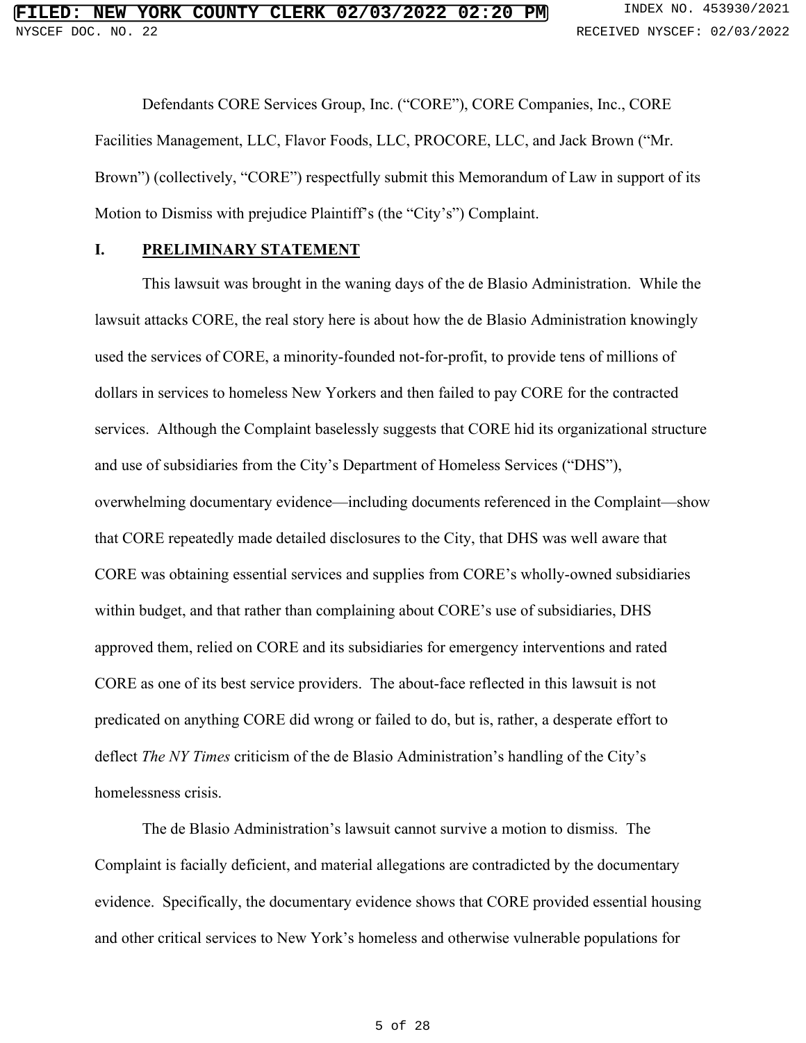Defendants CORE Services Group, Inc. ("CORE"), CORE Companies, Inc., CORE Defendants CORE Services Group, Inc. ("CORE"), CORE Companies, Inc., CORE Facilities Management, LLC, Flavor Foods, LLC, PROCORE, LLC, and Jack Brown ("Mr. Brown") (collectively, "CORE") respectfully submit this Memorandum of Law in support of its Motion to Dismiss with prejudice Plaintiff's (the "City's") Complaint. Facilities Management, LLC, Flavor Foods, LLC, PROCORE, LLC, and Jack Brown ("Mr.<br>Brown") (collectively, "CORE") respectfully submit this Memorandum of Law in support of its<br>Motion to Dismiss with prejudice Plaintiff's (th

#### <span id="page-4-0"></span>I. PRELIMINARY STATEMENT **I. PRELIMINARY STATEMENT**

This lawsuit was brought in the waning days of the de Blasio Administration. While the This lawsuit was brought in the waning days of the de Blasio Administration. While the<br>lawsuit attacks CORE, the real story here is about how the de Blasio Administration knowingly used the services of CORE, a minority-founded not-for-profit, to provide tens of millions of used the services of CORE, a minority-founded not-for-profit, to provide tens of millions of dollars in services to homeless New Yorkers and then failed to pay CORE for the contracted services. Although the Complaint baselessly suggests that CORE hid its organizational structure and use of subsidiaries from the City's Department of Homeless Services ("DHS"), overwhelming documentary evidence—including documents referenced in the Complaint—show that CORE repeatedly made detailed disclosures to the City, that DHS was well aware that CORE was obtaining essential services and supplies from CORE's wholly-owned subsidiaries within budget, and that rather than complaining about CORE's use of subsidiaries, DHS approved them, relied on CORE and its subsidiaries for emergency interventions and rated CORE as one of its best service providers. The about-face reflected in this lawsuit is not CORE as one of its best service providers. The about-face reflected in this lawsuit is not predicated on anything CORE did wrong or failed to do, but is, rather, a desperate effort to<br>deflect *The NY Times* criticism of the de Blasio Administration's handling of the City's<br>homelessness crisis. deflect The NY Times criticism of the de Blasio Administration's handling of the City's homelessness crisis. dollars in services to homeless New Yorkers and then failed to pay CORE for the contracted<br>services. Although the Complaint baselessly suggests that CORE hid its organizational structure<br>and use of subsidiaries from the Ci overwhelming documentary evidence—including documents referenced in the Complaint—show<br>that CORE repeatedly made detailed disclosures to the City, that DHS was well aware that<br>CORE was obtaining essential services and supp **EYERN YORK CORRY OF LEARN 02703/2022 02:10** there is a new view set of the system of the system of the system of the system of the system of the system of the system of the system of the system of the system of the syste

The de Blasio Administration's lawsuit cannot survive a motion to dismiss. The The de Blasio Administration's lawsuit cannot survive a motion to dismiss. The Complaint is facially deficient, and material allegations are contradicted by the documentary Complaint is facially deficient, and material allegations are contradicted by the documentary evidence. Specifically, the documentary evidence shows that CORE provided essential housing and other critical services to New York's homeless and otherwise vulnerable populations for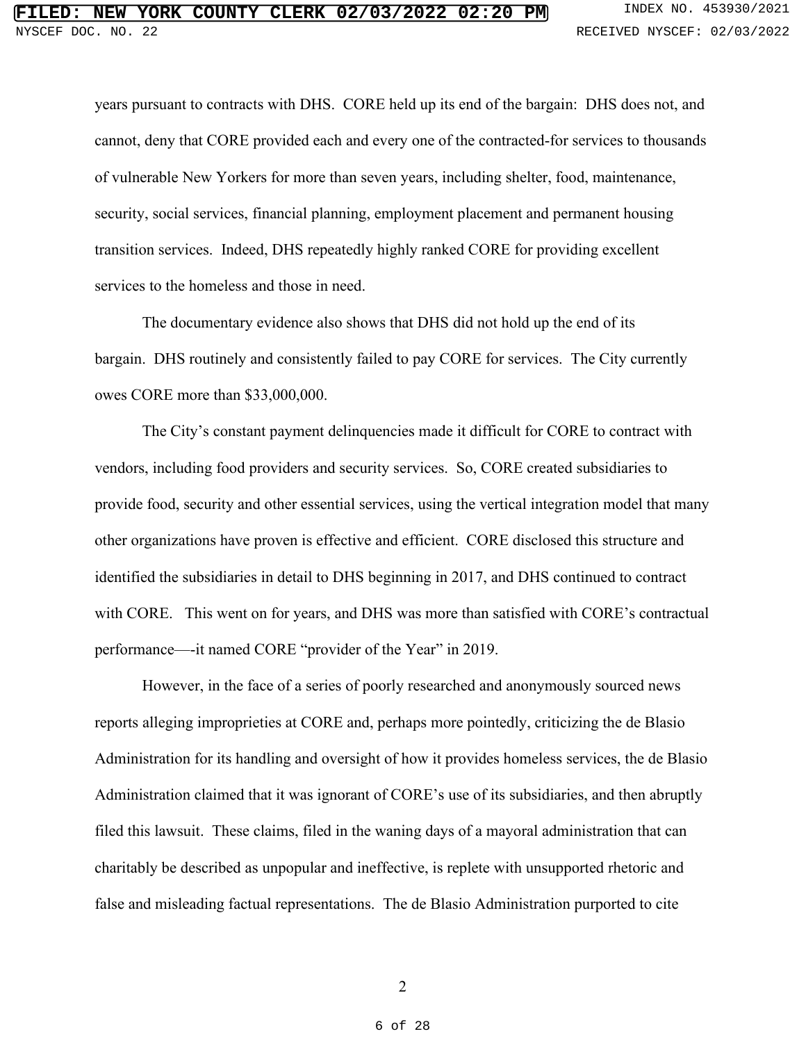years pursuant to contracts with DHS. CORE held up its end of the bargain: DHS does not, and years pursuant to contracts with DHS. CORE held up its end of the bargain: DHS does not, and cannot, deny that CORE provided each and every one of the contracted-for services to thousands of vulnerable New Yorkers for more than seven years, including shelter, food, maintenance, security, social services, financial planning, employment placement and permanent housing transition services. Indeed, DHS repeatedly highly ranked CORE for providing excellent services to the homeless and those in need. cannot, deny that CORE provided each and every one of the contracted-for services to thousands<br>of vulnerable New Yorkers for more than seven years, including shelter, food, maintenance,<br>security, social services, financial

The documentary evidence also shows that DHS did not hold up the end of its bargain. DHS routinely and consistently failed to pay CORE for services. The City currently owes CORE more than \$33,000,000. The documentary evidence also shows that DHS did not hold up the end of its<br>bargain. DHS routinely and consistently failed to pay CORE for services. The City currently<br>owes CORE more than \$33,000,000.<br>The City's constant p

The City's constant payment delinquencies made it difficult for CORE to contract with vendors, including food providers and security services. So, CORE created subsidiaries to provide food, security and other essential services, using the vertical integration model that many other organizations have proven is effective and efficient. CORE disclosed this structure and identified the subsidiaries in detail to DHS beginning in 2017, and DHS continued to contract with CORE. This went on for years, and DHS was more than satisfied with CORE's contractual<br>performance—it named CORE "provider of the Year" in 2019.<br>However, in the face of a series of poorly researched and anonymously sou performance--it named CORE "provider of the Year" in 2019. provide food, security and other essential services, using the vertical integration model that many<br>other organizations have proven is effective and efficient. CORE disclosed this structure and<br>identified the subsidiaries

However, in the face of a series of poorly researched and anonymously sourced news reports alleging improprieties at CORE and, perhaps more pointedly, criticizing the de Blasio Administration for its handling and oversight of how it provides homeless services, the de Blasio<br>Administration claimed that it was ignorant of CORE's use of its subsidiaries, and then abruptly<br>filed this lawsuit. These c Administration claimed that it was ignorant of CORE's use of its subsidiaries, and then abruptly filed this lawsuit. These claims, filed in the waning days of a mayoral administration that can charitably be described as unpopular and ineffective, is replete with unsupported rhetoric and<br>false and misleading factual representations. The de Blasio Administration purported to cite false and misleading factual representations. The de Blasio Administration purported to cite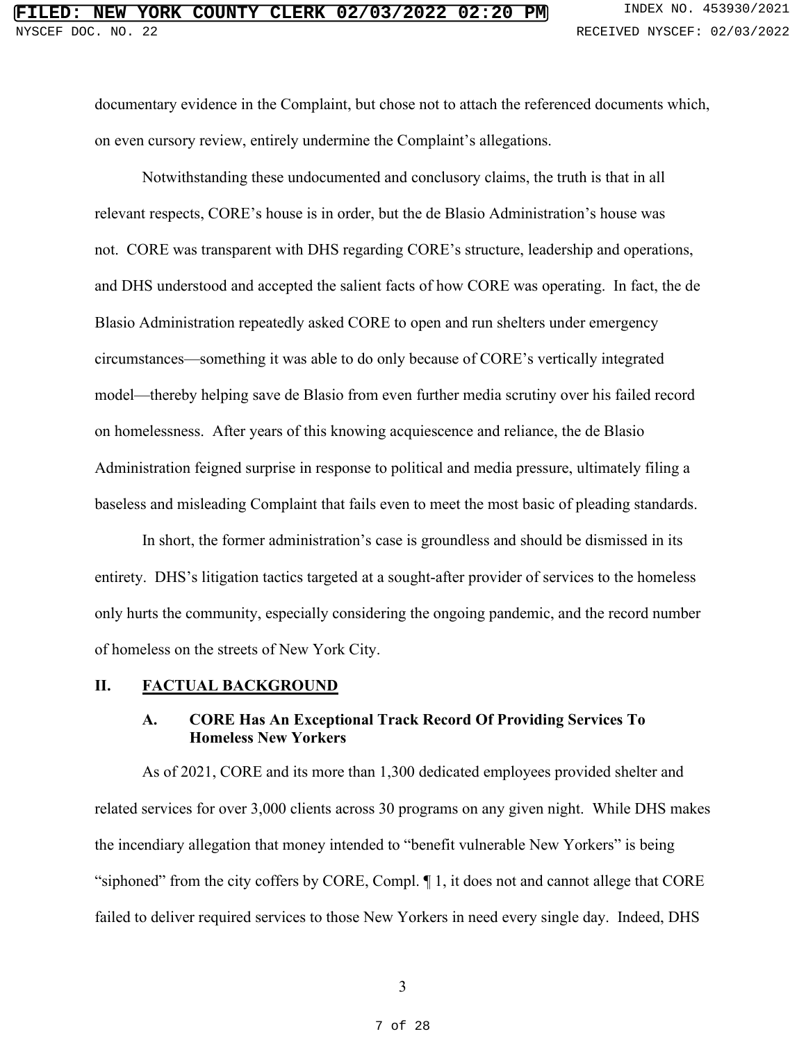documentary evidence in the Complaint, but chose not to attach the referenced documents which, documentary evidence in the Complaint, but chose not to attach the referenced documents which, on even cursory review, entirely undermine the Complaint's allegations.

Notwithstanding these undocumented and conclusory claims, the truth is that in all relevant respects, CORE's house is in order, but the de Blasio Administration's house was not. CORE was transparent with DHS regarding CORE's structure, leadership and operations, and DHS understood and accepted the salient facts of how CORE was operating. In fact, the de Blasio Administration repeatedly asked CORE to open and run shelters under emergency circumstances-something it was able to do only because of CORE's vertically integrated Blasio Administration repeatedly asked CORE to open and run shelters under emergency<br>circumstances—something it was able to do only because of CORE's vertically integrated<br>model—thereby helping save de Blasio from even fur on homelessness. After years of this knowing acquiescence and reliance, the de Blasio on homelessness. After years of this knowing acquiescence and reliance, the de Blasio<br>Administration feigned surprise in response to political and media pressure, ultimately filing a baseless and misleading Complaint that fails even to meet the most basic of pleading standards. on even cursory review, entirely undermine the Complaint's allegations.<br>Notwithstanding these undocumented and conclusory claims, the truth is that in all<br>relevant respects, CORE's house is in order, but the de Blasio Admi **ETLED: NEW YORK COURTY CEERER.** 02/03/2022 02:2019 a searched to the straight and the metric of the straight of the straight and the straight and the straight and the straight and the straight and the straight and the st

In short, the former administration's case is groundless and should be dismissed in its entirety. DHS's litigation tactics targeted at a sought-after provider of services to the homeless only hurts the community, especially considering the ongoing pandemic, and the record number of homeless on the streets of New York City. baseless and misleading Complaint that fails even to meet the most basic of pleading standards.<br>In short, the former administration's case is groundless and should be dismissed in its<br>entirety. DHS's litigation tactics tar

#### II. FACTUAL BACKGROUND

### A. CORE Has An Exceptional Track Record Of Providing Services To **II. FACTUAL BACKGROUND A. CORE Has An Exceptional Track Record Of Providing Services To**  Homeless New Yorkers **Homeless New Yorkers**

As of 2021, CORE and its more than 1,300 dedicated employees provided shelter and related services for over 3,000 clients across 30 programs on any given night. While DHS makes As of 2021, CORE and its more than 1,300 dedicated employees provided shelter and<br>related services for over 3,000 clients across 30 programs on any given night. While DHS makes<br>the incendiary allegation that money intended "siphoned" from the city coffers by CORE, Compl. ¶ 1, it does not and cannot allege that CORE failed to deliver required services to those New Yorkers in need every single day. Indeed, DHS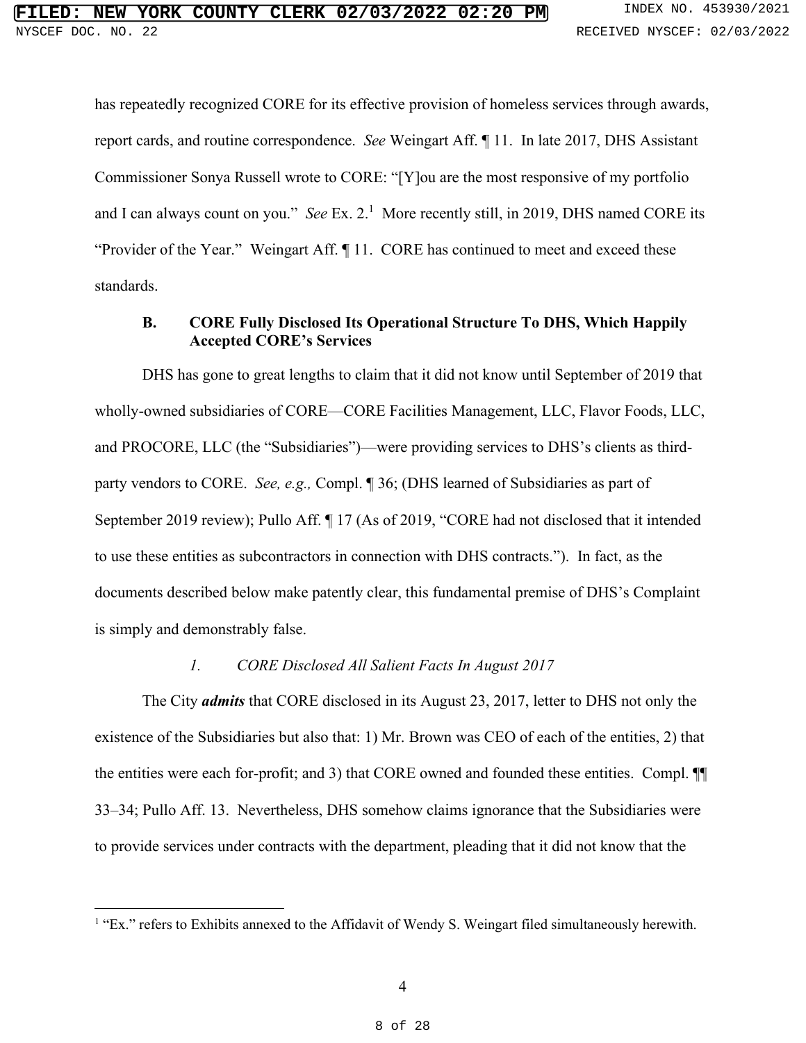has repeatedly recognized CORE for its effective provision of homeless services through awards, has repeatedly recognized CORE for its effective provision of homeless services through awards, report cards, and routine correspondence. See Weingart Aff. ¶ 11. In late 2017, DHS Assistant Commissioner Sonya Russell wrote to CORE: "[Y]ou are the most responsive of my portfolio report cards, and routine correspondence. *See* Weingart Aff. ¶ 11. In late 2017, DHS Assistant<br>Commissioner Sonya Russell wrote to CORE: "[Y]ou are the most responsive of my portfolio<br>and I can always count on you." *See* "Provider of the Year." Weingart Aff. ¶ 11. CORE has continued to meet and exceed these standards. and I can always count on you." *See* Ex. 2.<sup>1</sup> More recently still, in 2019, DHS named CORE its "Provider of the Year." Weingart Aff.  $\P$  11. CORE has continued to meet and exceed these standards.

#### B. CORE Fully Disclosed Its Operational Structure To DHS, Which Happily **B. CORE Fully Disclosed Its Operational Structure To DHS, Which Happily Accepted CORE's Services** Accepted CORE's Services

DHS has gone to great lengths to claim that it did not know until September of 2019 that DHS has gone to great lengths to claim that it did not know until September of 2019 that<br>wholly-owned subsidiaries of CORE—CORE Facilities Management, LLC, Flavor Foods, LLC, and PROCORE, LLC (the "Subsidiaries")—were providing services to DHS's clients as third-and PROCORE, LLC (the "Subsidiaries")—were providing services to DHS's clients as thirdparty vendors to CORE. See, e.g., Compl. ¶ 36; (DHS learned of Subsidiaries as part of party vendors to CORE. *See, e.g.,* Compl. ¶ 36; (DHS learned of Subsidiaries as part of September 2019 review); Pullo Aff. ¶ 17 (As of 2019, "CORE had not disclosed that it intended<br>to use these entities as subcontractors in connection with DHS contracts."). In fact, as the<br>documents described below make pate to use these entities as subcontractors in connection with DHS contracts."). In fact, as the documents described below make patently clear, this fundamental premise of DHS's Complaint is simply and demonstrably false.

#### 1. CORE Disclosed All Salient Facts In August 2017 *1. CORE Disclosed All Salient Facts In August 2017*

The City *admits* that CORE disclosed in its August 23, 2017, letter to DHS not only the existence of the Subsidiaries but also that: 1) Mr. Brown was CEO of each of the entities, 2) that The City **admits** that CORE disclosed in its August 23, 2017, letter to DHS not only the existence of the Subsidiaries but also that: 1) Mr. Brown was CEO of each of the entities, 2) that the entities were each for-profit; 33–34; Pullo Aff. 13. Nevertheless, DHS somehow claims ignorance that the Subsidiaries were<br>to provide services under contracts with the department, pleading that it did not know that the to provide services under contracts with the department, pleading that it did not know that the

<sup>&</sup>lt;sup>1</sup> "Ex." refers to Exhibits annexed to the Affidavit of Wendy S. Weingart filed simultaneously herewith.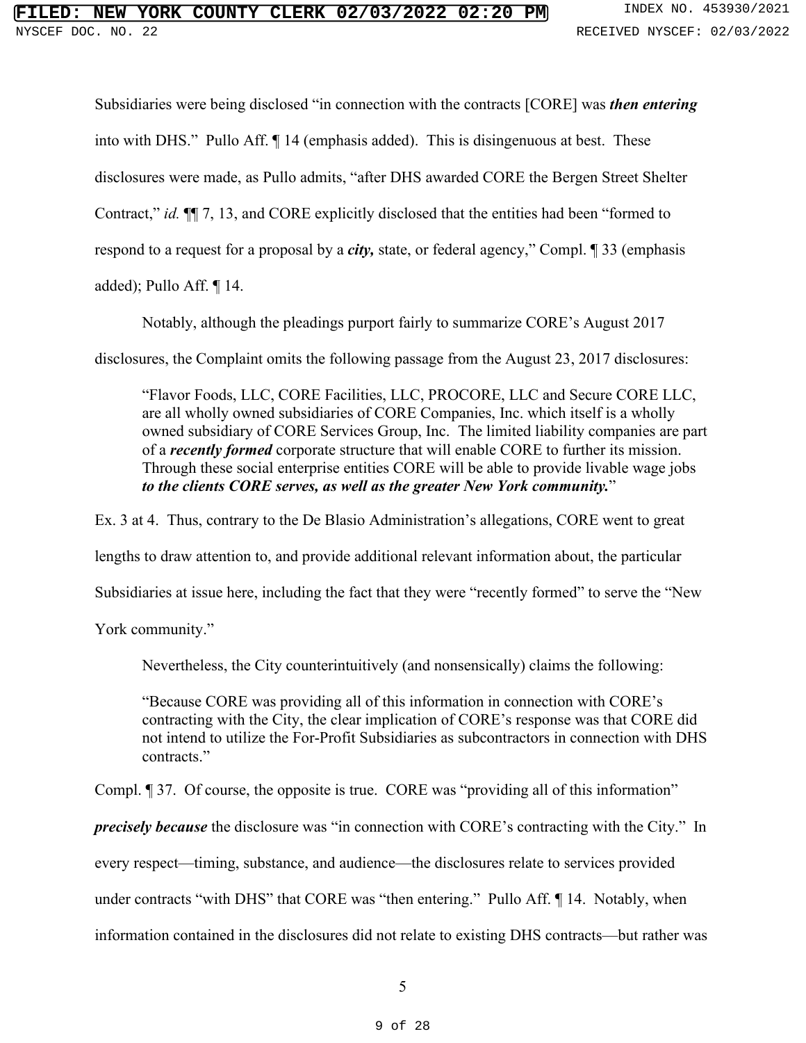#### **NEW YORK COUNTY CLERK 02/03/2022 02:20 PM** INDEX NO. 453930/2021 NYSCEF DOC. NO. 22 **RECEIVED NYSCEF: 02/03/2022**

Subsidiaries were being disclosed "in connection with the contracts [CORE] was then entering Subsidiaries were being disclosed "in connection with the contracts [CORE] was *then entering*  into with DHS." Pullo Aff. ¶ 14 (emphasis added). This is disingenuous at best. These disclosures were made, as Pullo admits, "after DHS awarded CORE the Bergen Street Shelter Contract," id. ¶¶ 7, 13, and CORE explicitly disclosed that the entities had been "formed to respond to a request for a proposal by a *city*, state, or federal agency," Compl. 1 33 (emphasis into with DHS." Pullo Aff. ¶ 14 (emphasis added). This is disingenuous at best. These<br>disclosures were made, as Pullo admits, "after DHS awarded CORE the Bergen Street Shelter<br>Contract," *id.* ¶[ 7, 13, and CORE explicitly

added); Pullo Aff. ¶ 14.

Notably, although the pleadings purport fairly to summarize CORE's August 2017

disclosures, the Complaint omits the following passage from the August 23, 2017 disclosures:

"Flavor Foods, LLC, CORE Facilities, LLC, PROCORE, LLC and Secure CORE LLC, are all wholly owned subsidiaries of CORE Companies, Inc. which itself is a wholly owned subsidiary of CORE Services Group, Inc. The limited liability companies are part of a *recently formed* corporate structure that will enable CORE to further its mission. of a *recently formed* corporate structure that will enable CORE to further its mission.<br>Through these social enterprise entities CORE will be able to provide livable wage jobs to the clients CORE serves, as well as the greater New York community." *to the clients CORE serves, as well as the greater New York community.*"

Ex. 3 at 4. Thus, contrary to the De Blasio Administration's allegations, CORE went to great lengths to draw attention to, and provide additional relevant information about, the particular Ex. 3 at 4. Thus, contrary to the De Blasio Administration's allegations, CORE went to great<br>lengths to draw attention to, and provide additional relevant information about, the particular<br>Subsidiaries at issue here, inclu

York community."

Nevertheless, the City counterintuitively (and nonsensically) claims the following:

"Because CORE was providing all of this information in connection with CORE's contracting with the City, the clear implication of CORE's response was that CORE did not intend to utilize the For-Profit Subsidiaries as subcontractors in connection with DHS contracts." contracts." Nevertheless, the City counterintuitively (and nonsensically) claims the following:<br>"Because CORE was providing all of this information in connection with CORE's<br>contracting with the City, the clear implication of CORE's r

Compl. ¶ 37. Of course, the opposite is true. CORE was "providing all of this information" Compl. ¶ 37. Of course, the opposite is true. CORE was "providing all of this information"

precisely because the disclosure was "in connection with CORE's contracting with the City." In

*precisely because* the disclosure was "in connection with CORE's contracting with the City." In<br>every respect—timing, substance, and audience—the disclosures relate to services provided

under contracts "with DHS" that CORE was "then entering." Pullo Aff. ¶ 14. Notably, when

under contracts "with DHS" that CORE was "then entering." Pullo Aff. ¶ 14. Notably, when<br>information contained in the disclosures did not relate to existing DHS contracts—but rather was

5 5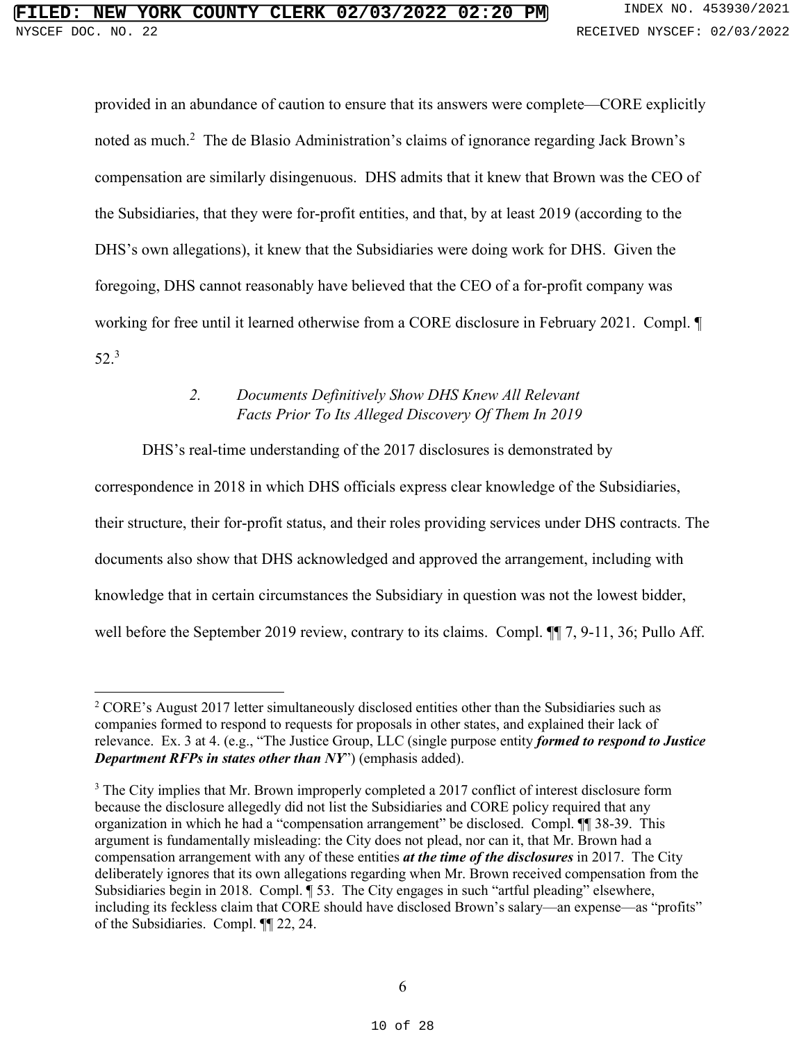provided in an abundance of caution to ensure that its answers were complete—CORE explicitly noted as much.<sup>2</sup> The de Blasio Administration's claims of ignorance regarding Jack Brown's noted as much.<sup>2</sup> The de Blasio Administration's claims of ignorance regarding Jack Brown's<br>compensation are similarly disingenuous. DHS admits that it knew that Brown was the CEO of the Subsidiaries, that they were for-profit entities, and that, by at least 2019 (according to the DHS's own allegations), it knew that the Subsidiaries were doing work for DHS. Given the foregoing, DHS cannot reasonably have believed that the CEO of a for-profit company was working for free until it learned otherwise from a CORE disclosure in February 2021. Compl. ¶ working for free until it learned otherwise from a CORE disclosure in February 2021. Compl. ¶ 52.3 52.<sup>3</sup> the Subsidiaries, that they were for-profit entities, and that, by at least 2019 (according to the<br>DHS's own allegations), it knew that the Subsidiaries were doing work for DHS. Given the<br>foregoing, DHS cannot reasonably h of the Subsidiaries. Compl. ¶¶ 22, 24. **FILED: NEW YORK COUNTY CLERK 02/03/2022 02:20 PM** INDEX NO. 453930/2021

### 2. Documents Definitively Show DHS Knew All Relevant Facts Prior To Its Alleged Discovery Of Them In 2019 *2. Documents Definitively Show DHS Knew All Relevant Facts Prior To Its Alleged Discovery Of Them In 2019*

DHS's real-time understanding of the 2017 disclosures is demonstrated by

<span id="page-9-0"></span>DHS's real-time understanding of the 2017 disclosures is demonstrated by<br>correspondence in 2018 in which DHS officials express clear knowledge of the Subsidiaries, their structure, their for-profit status, and their roles providing services under DHS contracts. The their structure, their for-profit status, and their roles providing services under DHS contracts. The<br>documents also show that DHS acknowledged and approved the arrangement, including with knowledge that in certain circumstances the Subsidiary in question was not the lowest bidder, knowledge that in certain circumstances the Subsidiary in question was not the lowest bidder,<br>well before the September 2019 review, contrary to its claims. Compl. ¶¶ 7, 9-11, 36; Pullo Aff.

 $2^2$  CORE's August 2017 letter simultaneously disclosed entities other than the Subsidiaries such as  $\textsuperscript{2}$  CORE's August 2017 letter simultaneously disclosed entities other than the Subsidiaries such as companies formed to respond to requests for proposals in other states, and explained their lack of relevance. Ex. 3 at 4. (e.g., "The Justice Group, LLC (single purpose entity formed to respond to Justice relevance. Ex. 3 at 4. (e.g., "The Justice Group, LLC (single purpose entity *formed to respond to Justice*  Department RFPs in states other than NY) (emphasis added). *Department RFPs in states other than NY*") (emphasis added).

<sup>&</sup>lt;sup>3</sup> The City implies that Mr. Brown improperly completed a 2017 conflict of interest disclosure form because the disclosure allegedly did not list the Subsidiaries and CORE policy required that any because the disclosure allegedly did not list the Subsidiaries and CORE policy required that any organization in which he had a "compensation arrangement" be disclosed. Compl. 11 38-39. This argument is fundamentally misleading: the City does not plead, nor can it, that Mr. Brown had a organization in which he had a "compensation arrangement" be disclosed. Compl. ¶ 38-39. This<br>argument is fundamentally misleading: the City does not plead, nor can it, that Mr. Brown had a<br>compensation arrangement with any deliberately ignores that its own allegations regarding when Mr. Brown received compensation from the Subsidiaries begin in 2018. Compl. ¶ 53. The City engages in such "artful pleading" elsewhere, including its feckless claim that CORE should have disclosed Brown's salary—an expense—as "profits" of the Subsidiaries. Compl. 11 22, 24. deliberately ignores that its own allegations regarding when Mr. Brown received compensation from the Subsidiaries begin in 2018. Compl. ¶ 53. The City engages in such "artful pleading" elsewhere, including its feckless cl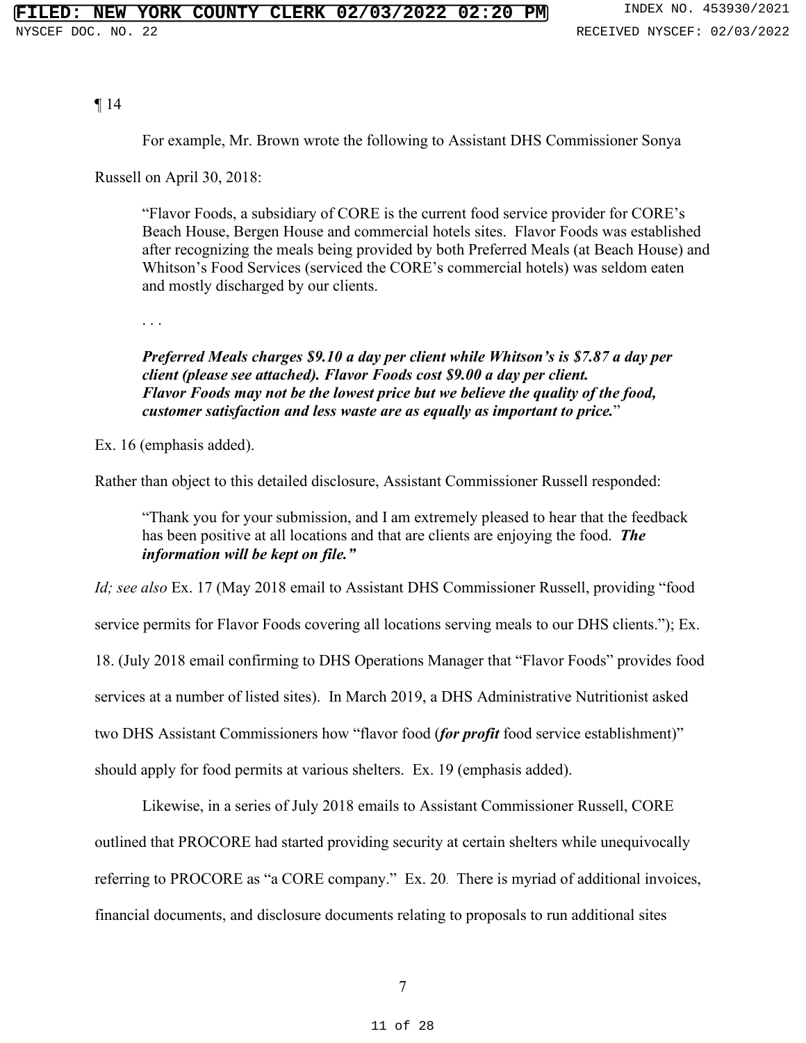¶14

For example, Mr. Brown wrote the following to Assistant DHS Commissioner Sonya

Russell on April 30, 2018:

"Flavor Foods, a subsidiary of CORE is the current food service provider for CORE's Beach House, Bergen House and commercial hotels sites. Flavor Foods was established ¶ 14<br>For example, Mr. Brown wrote the following to Assistant DHS Commissioner Sonya<br>Russell on April 30, 2018:<br>"Flavor Foods, a subsidiary of CORE is the current food service provider for CORE's<br>Beach House, Bergen House a Whitson's Food Services (serviced the CORE's commercial hotels) was seldom eaten Whitson's Food Services (serviced the CORE's commercial hotels) was seldom eaten and mostly discharged by our clients. and mostly discharged by our clients.

. . .

#### Preferred Meals charges \$9.10 a day per client while Whitson's is \$7.87 a day per client (please see attached). Flavor Foods cost \$9.00 a day per client. Preferred Meals charges \$9.10 a day per client while Whitson's is \$7.87 a day per<br>client (please see attached). Flavor Foods cost \$9.00 a day per client.<br>Flavor Foods may not be the lowest price but we believe the quality customer satisfaction and less waste are as equally as important to price." *customer satisfaction and less waste are as equally as important to price.*"

Ex. 16 (emphasis added). Ex. 16 (emphasis added).

Rather than object to this detailed disclosure, Assistant Commissioner Russell responded: Rather than object to this detailed disclosure, Assistant Commissioner Russell responded:

"Thank you for your submission, and I am extremely pleased to hear that the feedback has been positive at all locations and that are clients are enjoying the food. The information will be kept on file." "Thank you for your submission, and I am extremely pleased to hear that the feedback has been positive at all locations and that are clients are enjoying the food. *The information will be kept on file."* 

Id; see also Ex. 17 (May 2018 email to Assistant DHS Commissioner Russell, providing "food service permits for Flavor Foods covering all locations serving meals to our DHS clients."); Ex. 18. (July 2018 email confirming to DHS Operations Manager that "Flavor Foods" provides food services at a number of listed sites). In March 2019, a DHS Administrative Nutritionist asked services at a number of listed sites). In March 2019, a DHS Administrative Nutritionist asked two DHS Assistant Commissioners how "flavor food (*for profit* food service establishment)"<br>should apply for food permits at various shelters. Ex. 19 (emphasis added). should apply for food permits at various shelters. Ex. 19 (emphasis added). *Id; see also* Ex. 17 (May 2018 email to Assistant DHS Commissioner Russell, providing "food<br>service permits for Flavor Foods covering all locations serving meals to our DHS clients."); Ex.<br>18. (July 2018 email confirming **FILED: NEW YORK COURTY CLEER OF 2023/2022 02:20 PM** and the state of the state of the state of the state of the state of the state of the state of the state of the state of the state of the state of the state of the state

Likewise, in a series of July 2018 emails to Assistant Commissioner Russell, CORE Likewise, in a series of July 2018 emails to Assistant Commissioner Russell, CORE<br>outlined that PROCORE had started providing security at certain shelters while unequivocally referring to PROCORE as "a CORE company." Ex. 20. There is myriad of additional invoices, referring to PROCORE as "a CORE company." Ex. 20. There is myriad of additional invoices, financial documents, and disclosure documents relating to proposals to run additional sites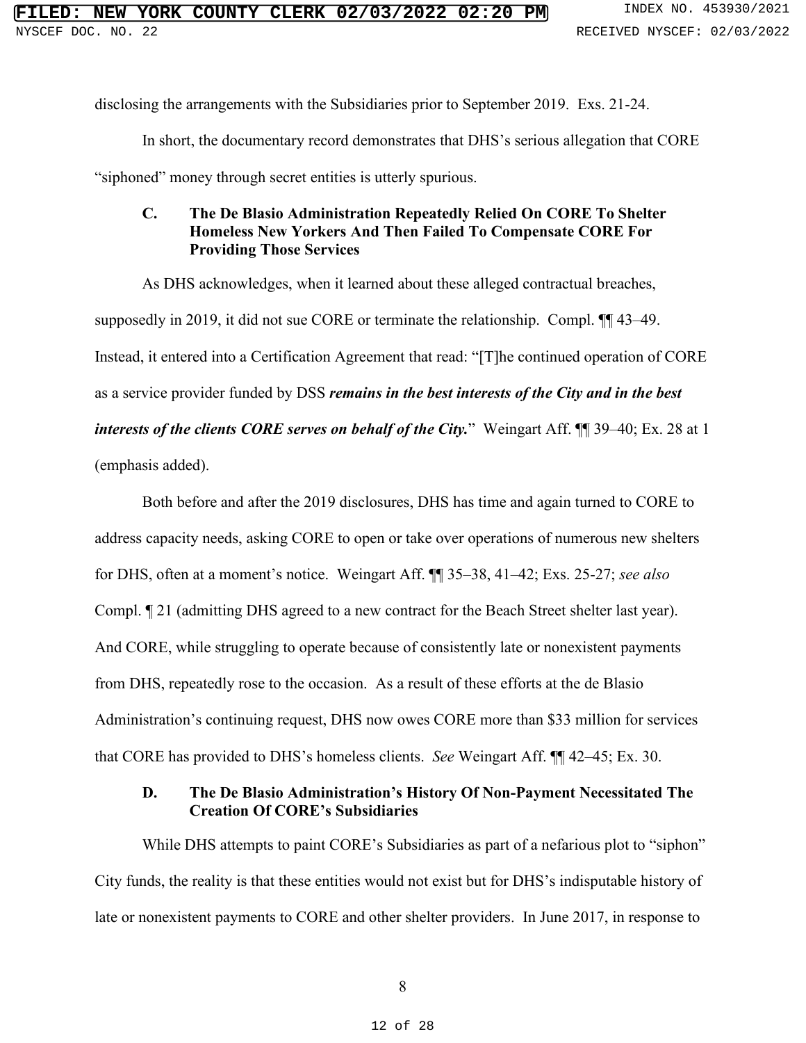disclosing the arrangements with the Subsidiaries prior to September 2019. Exs. 21-24.

In short, the documentary record demonstrates that DHS's serious allegation that CORE disclosing the arrangements with the Subsidiaries prior to September 2019. Exs. 21-24.<br>In short, the documentary record demonstrates that DHS's serious allegation that CORE<br>"siphoned" money through secret entities is utter

<span id="page-11-0"></span>"siphoned" money through secret entities is utterly spurious.

#### C. The De Blasio Administration Repeatedly Relied On CORE To Shelter Homeless New Yorkers And Then Failed To Compensate CORE For **C. The De Blasio Administration Repeatedly Relied On CORE To Shelter Homeless New Yorkers And Then Failed To Compensate CORE For**  Providing Those Services **Providing Those Services**

As DHS acknowledges, when it learned about these alleged contractual breaches, As DHS acknowledges, when it learned about these alleged contractual breaches, supposedly in 2019, it did not sue CORE or terminate the relationship. Compl. ¶¶ 43-49. Instead, it entered into a Certification Agreement that read: "[T]he continued operation of CORE as a service provider funded by DSS remains in the best interests of the City and in the best interests of the clients CORE serves on behalf of the City." Weingart Aff. [[ 39–40; Ex. 28 at 1 supposedly in 2019, it did not sue CORE or terminate the relationship. Compl.  $\P$  43–49.<br>Instead, it entered into a Certification Agreement that read: "[T]he continued operation of CORE<br>as a service provider funded by DSS

(emphasis added).

Both before and after the 2019 disclosures, DHS has time and again turned to CORE to address capacity needs, asking CORE to open or take over operations of numerous new shelters Both before and after the 2019 disclosures, DHS has time and again turned to CORE to<br>address capacity needs, asking CORE to open or take over operations of numerous new shelters<br>for DHS, often at a moment's notice. Weingar Compl. ¶ 21 (admitting DHS agreed to a new contract for the Beach Street shelter last year). Compl. ¶ 21 (admitting DHS agreed to a new contract for the Beach Street shelter last year).<br>And CORE, while struggling to operate because of consistently late or nonexistent payments from DHS, repeatedly rose to the occasion. As a result of these efforts at the de Blasio Administration's continuing request, DHS now owes CORE more than \$33 million for services from DHS, repeatedly rose to the occasion. As a result of these efforts at the de Blasio<br>Administration's continuing request, DHS now owes CORE more than \$33 million for services<br>that CORE has provided to DHS's homeless cl **EXERT OR NORT Y CHERER.** 02/03/2022 02:20<br> **EXERT TOX:** 4539/5/2022<br>
disoloning the announcement with the Subsidiative providers entered shell by the Content and CORE and other shelter<br>
response of monocy through sectre e

#### <span id="page-11-1"></span>D. The De Blasio Administration's History Of Non-Payment Necessitated The **D. The De Blasio Administration's History Of Non-Payment Necessitated The Creation Of CORE's Subsidiaries** Creation Of CORE's Subsidiaries

While DHS attempts to paint CORE's Subsidiaries as part of a nefarious plot to "siphon" While DHS attempts to paint CORE's Subsidiaries as part of a nefarious plot to "siphon" City funds, the reality is that these entities would not exist but for DHS's indisputable history of City funds, the reality is that these entities would not exist but for DHS's indisputable history of late or nonexistent payments to CORE and other shelter providers. In June 2017, in response to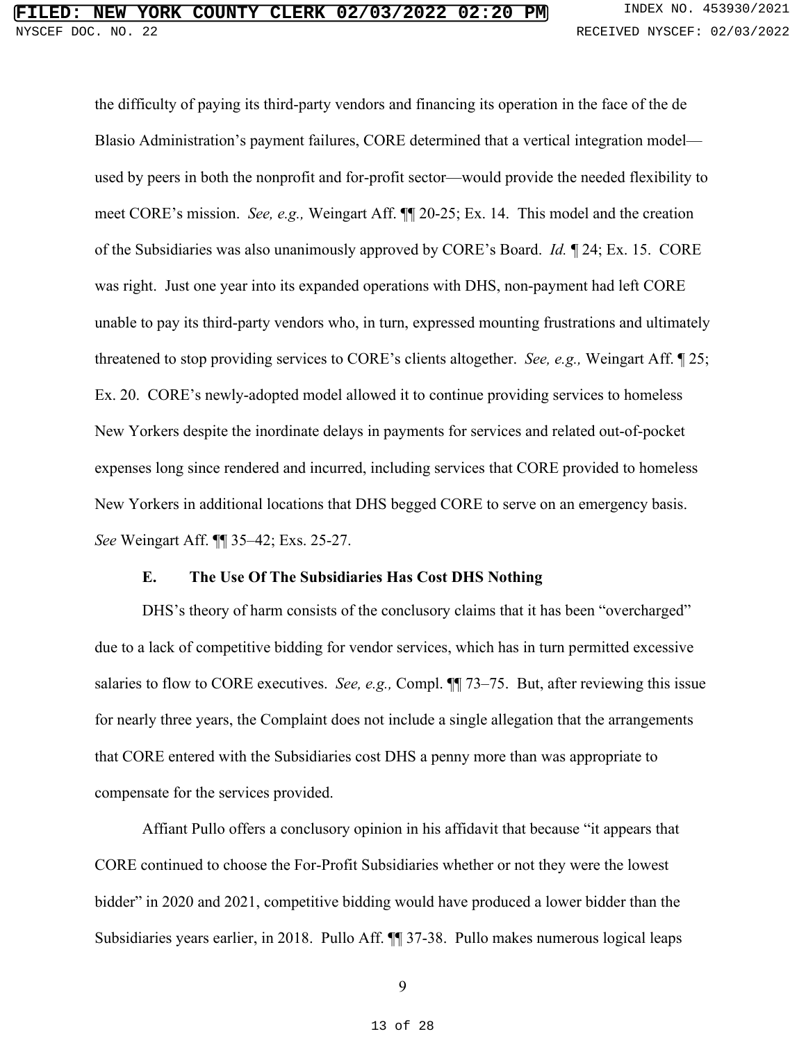## DOC. NO. 22 RECEIVED NYSCEF: 02/03/2022

the difficulty of paying its third-party vendors and financing its operation in the face of the de Blasio Administration's payment failures, CORE determined that a vertical integration model— Blasio Administration's payment failures, CORE determined that a vertical integration model used by peers in both the nonprofit and for-profit sector—would provide the needed flexibility to meet CORE's mission. See, e.g., Weingart Aff.  $\P$  20-25; Ex. 14. This model and the creation of the Subsidiaries was also unanimously approved by CORE's Board. Id. ¶ 24; Ex. 15. CORE was right. Just one year into its expanded operations with DHS, non-payment had left CORE unable to pay its third-party vendors who, in turn, expressed mounting frustrations and ultimately threatened to stop providing services to CORE's clients altogether. See, e.g., Weingart Aff. 125; Ex. 20. CORE's newly-adopted model allowed it to continue providing services to homeless New Yorkers despite the inordinate delays in payments for services and related out-of-pocket expenses long since rendered and incurred, including services that CORE provided to homeless expenses long since rendered and incurred, including services that CORE provided to homeless New Yorkers in additional locations that DHS begged CORE to serve on an emergency basis. New Yorkers in additional locations that DHS begged CORE to serve on an emergency basis. See Weingart Aff. ¶¶ 35-42; Exs. 25-27. *See* Weingart Aff. ¶¶ 35–42; Exs. 25-27. used by peers in both the nonprofit and for-profit sector—would provide the needed flexibility to<br>meet CORE's mission. *See, e.g.*, Weingart Aff.  $\P$  20-25; Ex. 14. This model and the creation<br>of the Subsidiaries was also unable to pay its third-party vendors who, in turn, expressed mounting frustrations and ultimately<br>threatened to stop providing services to CORE's clients altogether. *See, e.g.*, Weingart Aff. [25;<br>Ex. 20. CORE's newly-ad **EYERN: YORK CORRYY CLEER 02703/2022 02:10** have view sections and finally the section of the section system is the section of the section of the section of the section of the section of the section of the section of the

#### E. The Use Of The Subsidiaries Has Cost DHS Nothing **E. The Use Of The Subsidiaries Has Cost DHS Nothing**

<span id="page-12-0"></span>DHS's theory of harm consists of the conclusory claims that it has been "overcharged" DHS's theory of harm consists of the conclusory claims that it has been "overcharged" due to a lack of competitive bidding for vendor services, which has in turn permitted excessive due to a lack of competitive bidding for vendor services, which has in turn permitted excessive salaries to flow to CORE executives. See, e.g., Compl.  $\P$  73–75. But, after reviewing this issue for nearly three years, the Complaint does not include a single allegation that the arrangements that CORE entered with the Subsidiaries cost DHS a penny more than was appropriate to compensate for the services provided. salaries to flow to CORE executives. *See, e.g.*, Compl.  $\P$  73–75. But, after reviewing this issue<br>for nearly three years, the Complaint does not include a single allegation that the arrangements<br>that CORE entered with th

Affiant Pullo offers a conclusory opinion in his affidavit that because "it appears that CORE continued to choose the For-Profit Subsidiaries whether or not they were the lowest bidder" in 2020 and 2021, competitive bidding would have produced a lower bidder than the Subsidiaries years earlier, in 2018. Pullo Aff. ¶¶ 37-38. Pullo makes numerous logical leaps

9 9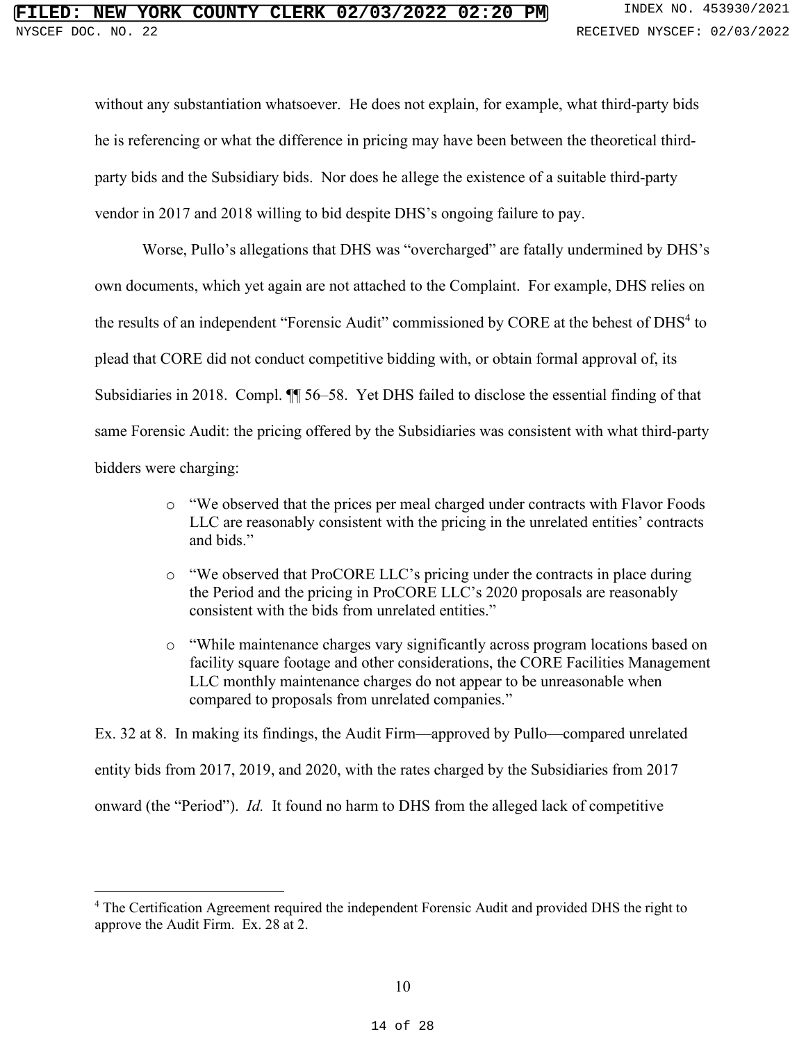without any substantiation whatsoever. He does not explain, for example, what third-party bids without any substantiation whatsoever. He does not explain, for example, what third-party bids he is referencing or what the difference in pricing may have been between the theoretical third-he is referencing or what the difference in pricing may have been between the theoretical thirdparty bids and the Subsidiary bids. Nor does he allege the existence of a suitable third-party<br>vendor in 2017 and 2018 willing to bid despite DHS's ongoing failure to pay. vendor in 2017 and 2018 willing to bid despite DHS's ongoing failure to pay.

Worse, Pullo's allegations that DHS was "overcharged" are fatally undermined by DHS's own documents, which yet again are not attached to the Complaint. For example, DHS relies on Worse, Pullo's allegations that DHS was "overcharged" are fatally undermined by DHS's<br>own documents, which yet again are not attached to the Complaint. For example, DHS relies on<br>the results of an independent "Forensic Aud plead that CORE did not conduct competitive bidding with, or obtain formal approval of, its Subsidiaries in 2018. Compl. ¶¶ 56-58. Yet DHS failed to disclose the essential finding of that same Forensic Audit: the pricing offered by the Subsidiaries was consistent with what third-party bidders were charging: the results of an independent "Forensic Audit" commissioned by CORE at the behest of DHS<sup>4</sup> to<br>plead that CORE did not conduct competitive bidding with, or obtain formal approval of, its<br>Subsidiaries in 2018. Compl. ¶ 56–5 **EXERCISE COUNTY CLEEN. 02/03/2022 02:20 FIRM. EXERCISE THE AUDIT COUNTY: EXERCISE THE AUTHOR COUNTY: AND**  $\mu$  **EXERCISE THE AUTHOR COUNTY: AND**  $\mu$  **EXERCISE THE AUTHOR COUNTY: AND** INDEX THE AUTHOR COUNTY:

- o "We observed that the prices per meal charged under contracts with Flavor Foods LLC are reasonably consistent with the pricing in the unrelated entities' contracts and bids." <sup>o</sup> "We observed that the prices per meal charged under contracts with Flavor Foods LLC are reasonably consistent with the pricing in the unrelated entities' contracts and bids."
- o "We observed that ProCORE LLC's pricing under the contracts in place during the Period and the pricing in ProCORE LLC's 2020 proposals are reasonably consistent with the bids from unrelated entities." <sup>o</sup> "We observed that ProCORE LLC's pricing under the contracts in place during the Period and the pricing in ProCORE LLC's 2020 proposals are reasonably consistent with the bids from unrelated entities."
- o "While maintenance charges vary significantly across program locations based on o "While maintenance charges vary significantly across program locations based on facility square footage and other considerations, the CORE Facilities Management LLC monthly maintenance charges do not appear to be unreasonable when LLC monthly maintenance charges do not appear to be unreasonable when compared to proposals from unrelated companies."

Ex. 32 at 8. In making its findings, the Audit Firm—approved by Pullo—compared unrelated Ex. 32 at 8. In making its findings, the Audit Firm—approved by Pullo—compared unrelated<br>entity bids from 2017, 2019, and 2020, with the rates charged by the Subsidiaries from 2017 onward (the "Period"). *Id.* It found no harm to DHS from the alleged lack of competitive

<sup>&</sup>lt;sup>4</sup> The Certification Agreement required the independent Forensic Audit and provided DHS the right to approve the Audit Firm. Ex. 28 at 2.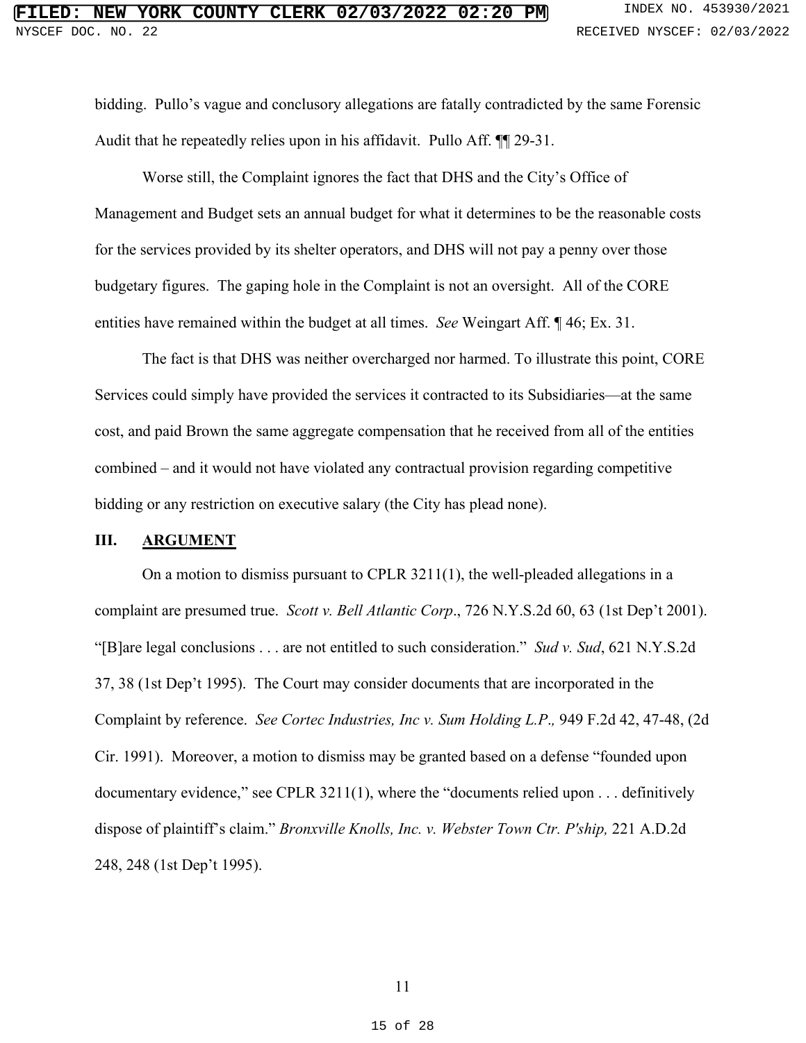bidding. Pullo's vague and conclusory allegations are fatally contradicted by the same Forensic bidding. Pullo's vague and conclusory allegations are fatally contradicted by the same Forensic Audit that he repeatedly relies upon in his affidavit. Pullo Aff. ¶¶ 29-31. Audit that he repeatedly relies upon in his affidavit. Pullo Aff. ¶¶ 29-31.

Worse still, the Complaint ignores the fact that DHS and the City's Office of Management and Budget sets an annual budget for what it determines to be the reasonable costs for the services provided by its shelter operators, and DHS will not pay a penny over those budgetary figures. The gaping hole in the Complaint is not an oversight. All of the CORE entities have remained within the budget at all times. See Weingart Aff. ¶ 46; Ex. 31. Worse still, the Complaint ignores the fact that DHS and the City's Office of<br>Management and Budget sets an annual budget for what it determines to be the reasonable costs<br>for the services provided by its shelter operators

The fact is that DHS was neither overcharged nor harmed. To illustrate this point, CORE Services could simply have provided the services it contracted to its Subsidiaries—at the same cost, and paid Brown the same aggregate compensation that he received from all of the entities The fact is that DHS was neither overcharged nor harmed. To illustrate this point, CORE<br>Services could simply have provided the services it contracted to its Subsidiaries—at the same<br>cost, and paid Brown the same aggregate bidding or any restriction on executive salary (the City has plead none). bidding or any restriction on executive salary (the City has plead none).

#### <span id="page-14-5"></span><span id="page-14-4"></span><span id="page-14-3"></span><span id="page-14-2"></span><span id="page-14-1"></span><span id="page-14-0"></span>III. ARGUMENT **III. ARGUMENT**

On a motion to dismiss pursuant to CPLR 3211(1), the well-pleaded allegations in a On a motion to dismiss pursuant to CPLR 3211(1), the well-pleaded allegations in a complaint are presumed true. Scott v. Bell Atlantic Corp., 726 N.Y.S.2d 60, 63 (1st Dep't 2001). complaint are presumed true. *Scott v. Bell Atlantic Corp*., 726 N.Y.S.2d 60, 63 (1st Dep't 2001). "[Blare legal conclusions . . . are not entitled to such consideration." Sud v. Sud, 621 N.Y.S.2d "[B]are legal conclusions . . . are not entitled to such consideration." *Sud v. Sud*, 621 N.Y.S.2d 37, 38 (1st Dep't 1995). The Court may consider documents that are incorporated in the Complaint by reference. See Cortec Industries, Inc v. Sum Holding L.P., 949 F.2d 42, 47-48, (2d Cir. 1991). Moreover, a motion to dismiss may be granted based on a defense "founded upon documentary evidence," see CPLR 3211(1), where the "documents relied upon . . . definitively dispose of plaintiff's claim." Bronxville Knolls, Inc. v. Webster Town Ctr. P'ship, 221 A.D.2d 248, 248 (1st Dep't 1995). 37, 38 (1st Dep't 1995). The Court may consider documents that are incorporated in the<br>Complaint by reference. *See Cortec Industries, Inc v. Sum Holding L.P.*, 949 F.2d 42, 47-48, (2d<br>Cir. 1991). Moreover, a motion to dis **EVERY YORK COUNTY CLERK 02/03/2022 02:20 MM** Interval to the time is the state *x*<sub>2</sub>, 5339/2022 1, 1995 (1st Dept. 1995). The state *x* Dept. 1995). We also the state of the state of the state of the state of the state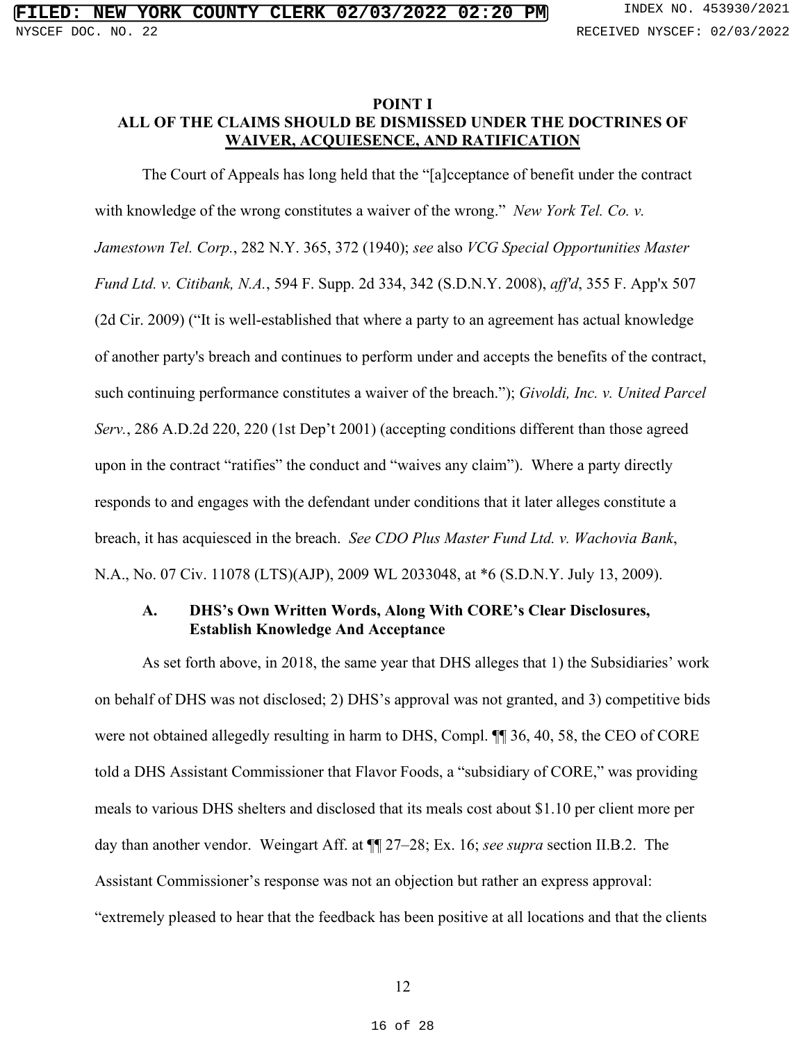#### <span id="page-15-5"></span><span id="page-15-4"></span><span id="page-15-0"></span>POINT I ALL OF THE CLAIMS SHOULD BE DISMISSED UNDER THE DOCTRINES OF WAIVER, ACQUIESENCE, AND RATIFICATION **POINT I**<br>ALL OF THE CLAIMS SHOULD BE DISMISSED UNDER THE DOCTRINES OF WAIVER, ACQUIESENCE, AND RATIFICATION

The Court of Appeals has long held that the "[a]cceptance of benefit under the contract<br>with knowledge of the wrong constitutes a waiver of the wrong." New York Tel. Co. v. with knowledge of the wrong constitutes a waiver of the wrong." New York Tel. Co. v. Jamestown Tel. Corp., 282 N.Y. 365, 372 (1940); see also VCG Special Opportunities Master Jamestown Tel. Corp., 282 N.Y. 365, 372 (1940); see also VCG Special Opportunities Master<br>Fund Ltd. v. Citibank, N.A., 594 F. Supp. 2d 334, 342 (S.D.N.Y. 2008), aff'd, 355 F. App'x 507 (2d Cir. 2009) ("It is well-established that where a party to an agreement has actual knowledge of another party's breach and continues to perform under and accepts the benefits of the contract, such continuing performance constitutes a waiver of the breach."); Givoldi, Inc. v. United Parcel Serv., 286 A.D.2d 220, 220 (1st Dep't 2001) (accepting conditions different than those agreed upon in the contract "ratifies" the conduct and "waives any claim"). Where a party directly responds to and engages with the defendant under conditions that it later alleges constitute a breach, it has acquiesced in the breach. See CDO Plus Master Fund Ltd. v. Wachovia Bank, responds to and engages with the defendant under conditions that it later alleges constitute a<br>breach, it has acquiesced in the breach. *See CDO Plus Master Fund Ltd. v. Wachovia Bank*,<br>N.A., No. 07 Civ. 11078 (LTS)(AJP), (2d Cir. 2009) ("It is well-established that where a party to an agreement has actual knowledge<br>of another party's breach and continues to perform under and accepts the benefits of the contract,<br>such continuing performance **ETLED: NEW YORK COURTY CEERER.** 02/03/2022 02:22 DP3 sections were set as a section system. The case of the WAINEX MOULE BONNISSED (NDER THE DOCTRINES OF THE CLAIMS SHOULE BEDISMISSED (NDER THE DOCTRINES OF THE CLAIMS SH

#### <span id="page-15-3"></span><span id="page-15-2"></span><span id="page-15-1"></span>A. **DHS's Own Written Words, Along With CORE's Clear Disclosures,**<br>Establish Knowledge And Acceptance Establish Knowledge And Acceptance

As set forth above, in 2018, the same year that DHS alleges that 1) the Subsidiaries' work As set forth above, in 2018, the same year that DHS alleges that 1) the Subsidiaries' work on behalf of DHS was not disclosed; 2) DHS's approval was not granted, and 3) competitive bids on behalf of DHS was not disclosed; 2) DHS's approval was not granted, and 3) competitive bids<br>were not obtained allegedly resulting in harm to DHS, Compl.  $\P$  36, 40, 58, the CEO of CORE told a DHS Assistant Commissioner that Flavor Foods, a "subsidiary of CORE," was providing meals to various DHS shelters and disclosed that its meals cost about \$1.10 per client more per day than another vendor. Weingart Aff. at  $\P$  27-28; Ex. 16; see supra section II.B.2. The Assistant Commissioner's response was not an objection but rather an express approval: "extremely pleased to hear that the feedback has been positive at all locations and that the clients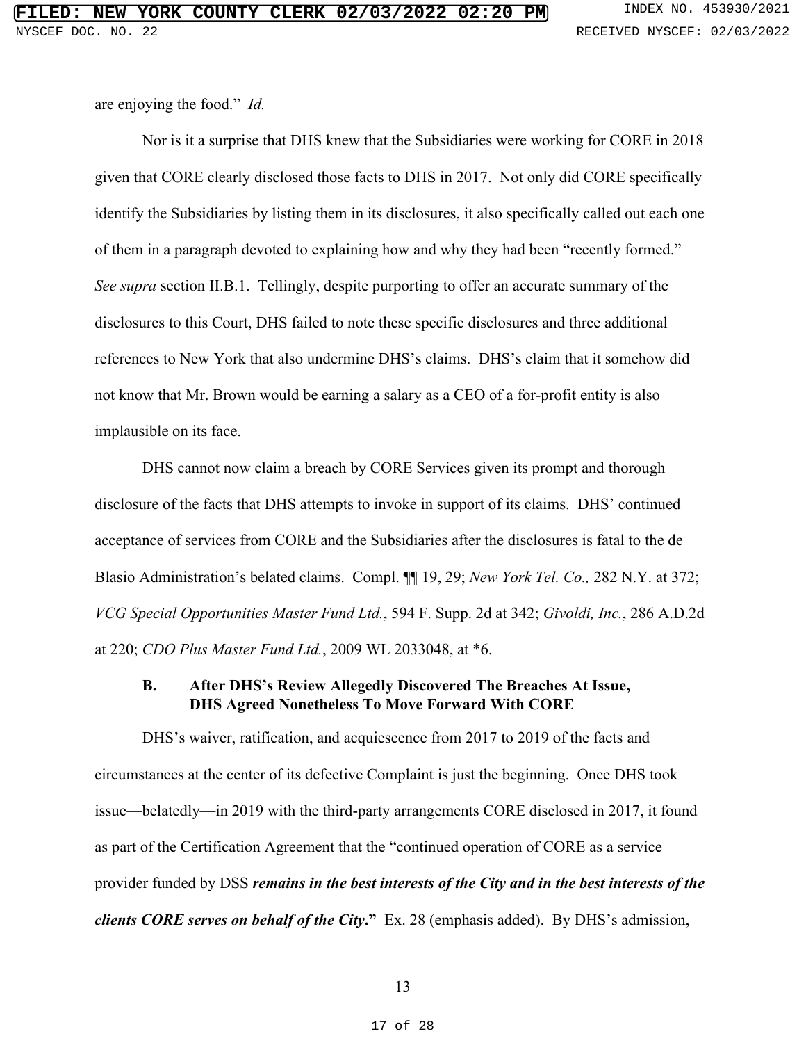are enjoying the food." Id. are enjoying the food." *Id.*

Nor is it a surprise that DHS knew that the Subsidiaries were working for CORE in 2018 Nor is it a surprise that DHS knew that the Subsidiaries were working for CORE in 2018<br>given that CORE clearly disclosed those facts to DHS in 2017. Not only did CORE specifically identify the Subsidiaries by listing them in its disclosures, it also specifically called out each one<br>of them in a paragraph devoted to explaining how and why they had been "recently formed." of them in a paragraph devoted to explaining how and why they had been "recently formed." See supra section II.B.1. Tellingly, despite purporting to offer an accurate summary of the *See supra* section II.B.1. Tellingly, despite purporting to offer an accurate summary of the disclosures to this Court, DHS failed to note these specific disclosures and three additional references to New York that also undermine DHS's claims. DHS's claim that it somehow did not know that Mr. Brown would be earning a salary as a CEO of a for-profit entity is also implausible on its face. disclosures to this Court, DHS failed to note these specific disclosures and three additional<br>references to New York that also undermine DHS's claims. DHS's claim that it somehow did<br>not know that Mr. Brown would be earnin

DHS cannot now claim a breach by CORE Services given its prompt and thorough disclosure of the facts that DHS attempts to invoke in support of its claims. DHS' continued acceptance of services from CORE and the Subsidiaries after the disclosures is fatal to the de disclosure of the facts that DHS attempts to invoke in support of its claims. DHS' continued<br>acceptance of services from CORE and the Subsidiaries after the disclosures is fatal to the de<br>Blasio Administration's belated cl VCG Special Opportunities Master Fund Ltd., 594 F. Supp. 2d at 342; Givoldi, Inc., 286 A.D.2d *VCG Special Opportunities Master Fund Ltd.*, 594 F. Supp. 2d at 342; *Givoldi, Inc.*, 286 A.D.2d at 220; CDO Plus Master Fund Ltd., 2009 WL 2033048, at \*6. at 220; *CDO Plus Master Fund Ltd.*, 2009 WL 2033048, at \*6.

#### <span id="page-16-4"></span><span id="page-16-3"></span><span id="page-16-2"></span><span id="page-16-1"></span><span id="page-16-0"></span>B. After DHS's Review Allegedly Discovered The Breaches At Issue, DHS Agreed Nonetheless To Move Forward With CORE **B. After DHS's Review Allegedly Discovered The Breaches At Issue, DHS Agreed Nonetheless To Move Forward With CORE**

DHS's waiver, ratification, and acquiescence from 2017 to 2019 of the facts and DHS's waiver, ratification, and acquiescence from 2017 to 2019 of the facts and circumstances at the center of its defective Complaint is just the beginning. Once DHS took issue—belatedly—in 2019 with the third-party arrangements CORE disclosed in 2017, it found as part of the Certification Agreement that the "continued operation of CORE as a service provider funded by DSS remains in the best interests of the City and in the best interests of the provider funded by DSS *remains in the best interests of the City and in the best interests of the*  clients CORE serves on behalf of the City." Ex. 28 (emphasis added). By DHS's admission, *clients CORE serves on behalf of the City***."** Ex. 28 (emphasis added). By DHS's admission, circumstances at the center of its defective Complaint is just the beginning. Once DHS took<br>issue—belatedly—in 2019 with the third-party arrangements CORE disclosed in 2017, it found<br>as part of the Certification Agreement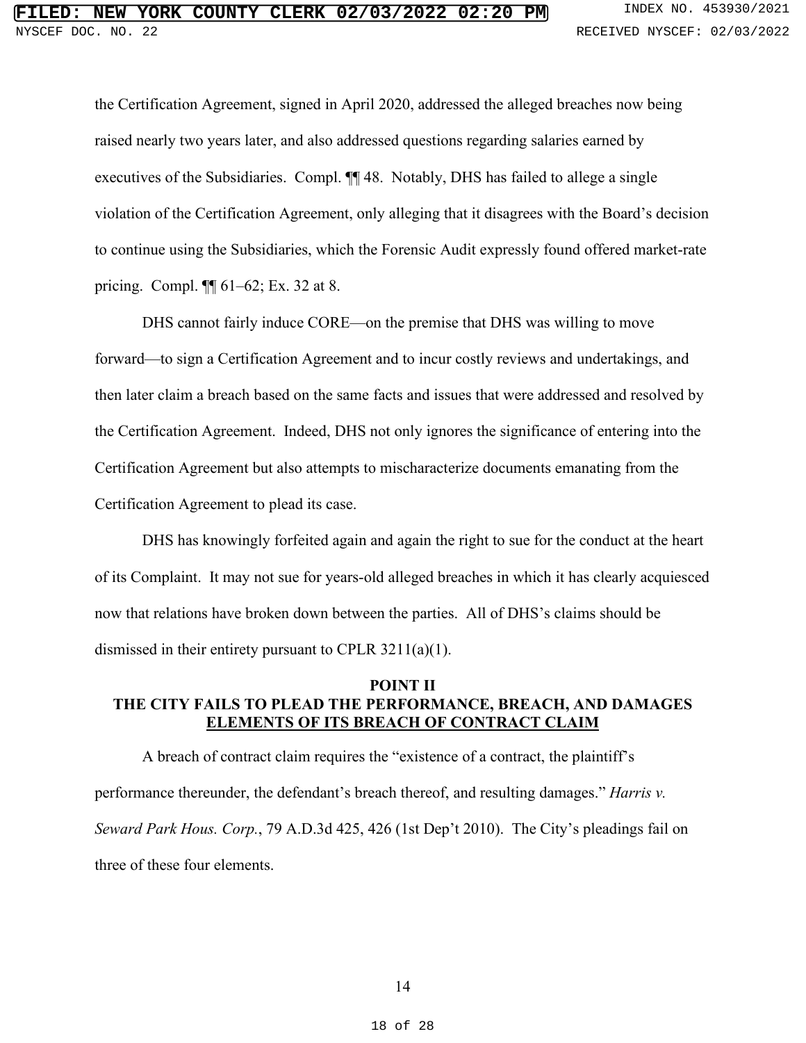the Certification Agreement, signed in April 2020, addressed the alleged breaches now being the Certification Agreement, signed in April 2020, addressed the alleged breaches now being raised nearly two years later, and also addressed questions regarding salaries earned by raised nearly two years later, and also addressed questions regarding salaries earned by executives of the Subsidiaries. Compl. ¶¶ 48. Notably, DHS has failed to allege a single executives of the Subsidiaries. Compl. ¶¶ 48. Notably, DHS has failed to allege a single violation of the Certification Agreement, only alleging that it disagrees with the Board's decision to continue using the Subsidiaries, which the Forensic Audit expressly found offered market-rate pricing. Compl. ¶¶ 61-62; Ex. 32 at 8. violation of the Certification Agreement, only alleging that it disagrees with the Board's decision<br>to continue using the Subsidiaries, which the Forensic Audit expressly found offered market-rate<br>pricing. Compl.  $\P\P$  61–6 **ETERD: NEW YORK COUNTY CLUBER 02/03/2022 02:20 EMB 2000**<br>
1105 PASS COUNTY CLUBER 02/03/2022 02:20 EMB 2010 PA CONDITION (1970) 113 (1970) 2013 (1970) 113 (1970) 2013 (1970) 113 (1970) 2013 (1970) 2015 (1970) 2015 (1970)

DHS cannot fairly induce CORE—on the premise that DHS was willing to move forward—to sign a Certification Agreement and to incur costly reviews and undertakings, and then later claim a breach based on the same facts and issues that were addressed and resolved by the Certification Agreement. Indeed, DHS not only ignores the significance of entering into the Certification Agreement but also attempts to mischaracterize documents emanating from the Certification Agreement to plead its case. DHS cannot fairly induce CORE—on the premise that DHS was willing to move<br>forward—to sign a Certification Agreement and to incur costly reviews and undertakings, and<br>then later claim a breach based on the same facts and is

DHS has knowingly forfeited again and again the right to sue for the conduct at the heart of its Complaint. It may not sue for years-old alleged breaches in which it has clearly acquiesced now that relations have broken down between the parties. All of DHS's claims should be dismissed in their entirety pursuant to CPLR 3211(a)(1).

#### <span id="page-17-1"></span><span id="page-17-0"></span>POINT II THE CITY FAILS TO PLEAD THE PERFORMANCE, BREACH, AND DAMAGES ELEMENTS OF ITS BREACH OF CONTRACT CLAIM POINT II<br>THE CITY FAILS TO PLEAD THE PERFORMANCE, BREACH, AND DAMAGES<br><u>ELEMENTS OF ITS BREACH OF CONTRACT CLAIM</u>

A breach of contract claim requires the "existence of a contract, the plaintiff s A breach of contract claim requires the "existence of a contract, the plaintiff's performance thereunder, the defendant's breach thereof, and resulting damages." Harris v. Seward Park Hous. Corp., 79 A.D.3d 425, 426 (1st Dep't 2010). The City's pleadings fail on three of these four elements.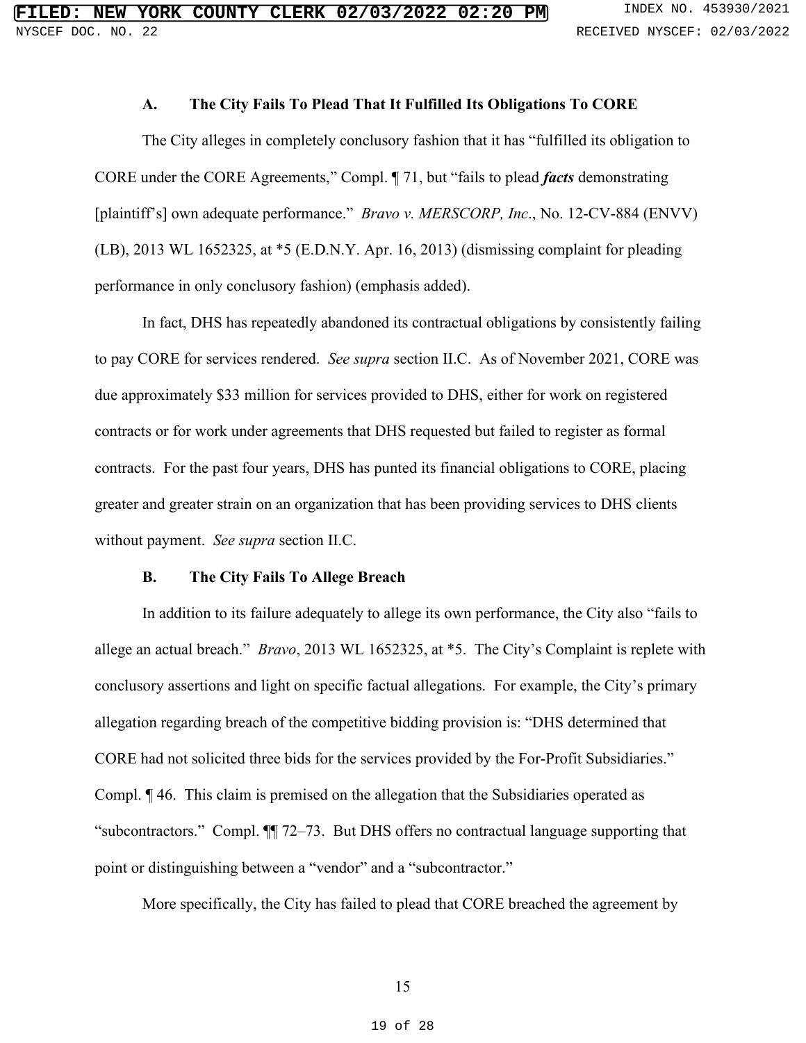#### A. The City Fails To Plead That It Fulfilled Its Obligations To CORE **A. The City Fails To Plead That It Fulfilled Its Obligations To CORE**

<span id="page-18-0"></span>The City alleges in completely conclusory fashion that it has "fulfilled its obligation to CORE under the CORE Agreements," Compl. ¶ 71, but "fails to plead facts demonstrating [plaintiff's] own adequate performance." *Bravo v. MERSCORP, Inc.*, No. 12-CV-884 (ENVV) (LB), 2013 WL 1652325, at \*5 (E.D.N.Y. Apr. 16, 2013) (dismissing complaint for pleading performance in only conclusory fashion) (emphasis added). The City alleges in completely conclusory fashion that it has "fulfilled its obligation to<br>CORE under the CORE Agreements," Compl. ¶ 71, but "fails to plead *facts* demonstrating<br>[plaintiff's] own adequate performance." *B* 

In fact, DHS has repeatedly abandoned its contractual obligations by consistently failing to pay CORE for services rendered. See supra section II.C. As of November 2021, CORE was due approximately \$33 million for services provided to DHS, either for work on registered contracts or for work under agreements that DHS requested but failed to register as formal contracts or for work under agreements that DHS requested but failed to register as formal<br>contracts. For the past four years, DHS has punted its financial obligations to CORE, placing greater and greater strain on an organization that has been providing services to DHS clients<br>without payment. See supra section II.C. without payment. See supra section II.C. In fact, DHS has repeatedly abandoned its contractual obligations by consistently failing<br>to pay CORE for services rendered. *See supra* section II.C. As of November 2021, CORE was<br>due approximately \$33 million for service

#### <span id="page-18-2"></span>B. The City Fails To Allege Breach **B. The City Fails To Allege Breach**

<span id="page-18-1"></span>In addition to its failure adequately to allege its own performance, the City also "fails to In addition to its failure adequately to allege its own performance, the City also "fails to<br>allege an actual breach." *Bravo*, 2013 WL 1652325, at \*5. The City's Complaint is replete with conclusory assertions and light on specific factual allegations. For example, the City's primary<br>allegation regarding breach of the competitive bidding provision is: "DHS determined that allegation regarding breach of the competitive bidding provision is: "DHS determined that CORE had not solicited three bids for the services provided by the For-Profit Subsidiaries." CORE had not solicited three bids for the services provided by the For-Profit Subsidiaries." Compl. ¶ 46. This claim is premised on the allegation that the Subsidiaries operated as Compl.  $\P$  46. This claim is premised on the allegation that the Subsidiaries operated as<br>"subcontractors." Compl.  $\P$  72–73. But DHS offers no contractual language supporting that point or distinguishing between a "vendor" and a "subcontractor." point or distinguishing between a "vendor" and a "subcontractor."<br>More specifically, the City has failed to plead that CORE breached the agreement by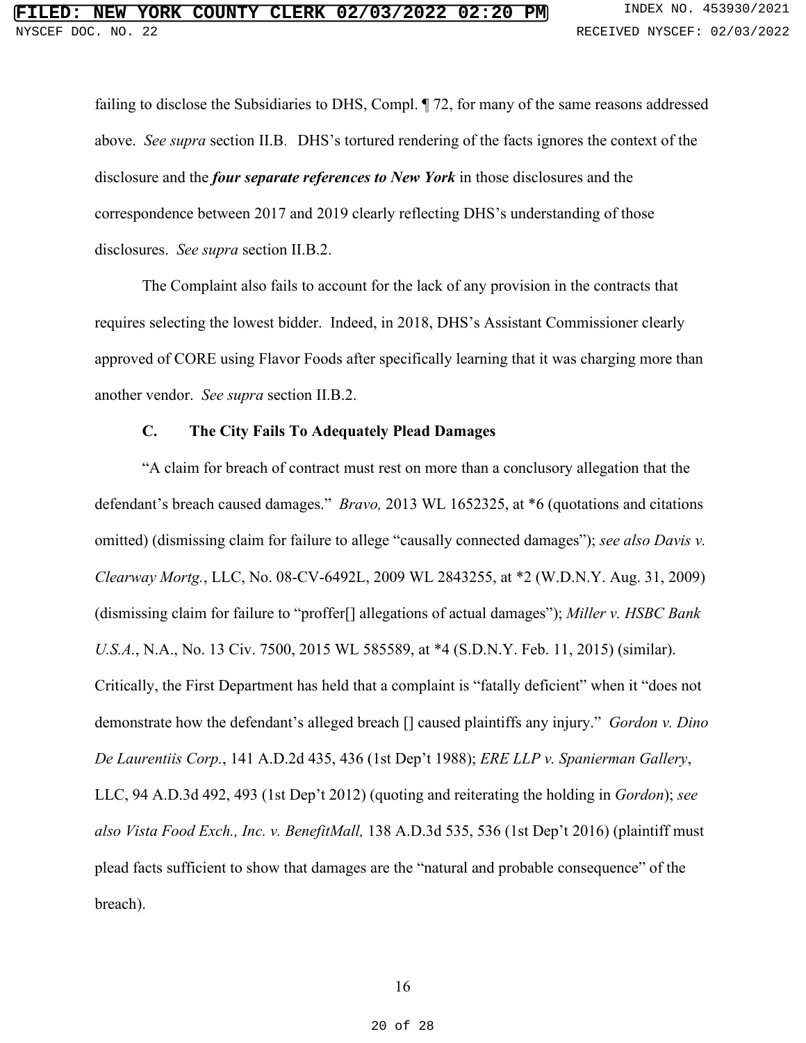failing to disclose the Subsidiaries to DHS, Compl. ¶ 72, for many of the same reasons addressed failing to disclose the Subsidiaries to DHS, Compl. ¶ 72, for many of the same reasons addressed above. *See supra* section II.B. DHS's tortured rendering of the facts ignores the context of the disclosure and the **four separate references to New York** in those disclosures and the correspondence between 2017 and 2019 disclosure and the *four separate references to New York* in those disclosures and the correspondence between 2017 and 2019 clearly reflecting DHS's understanding of those disclosures. See supra section II.B.2.

The Complaint also fails to account for the lack of any provision in the contracts that The Complaint also fails to account for the lack of any provision in the contracts that requires selecting the lowest bidder. Indeed, in 2018, DHS's Assistant Commissioner clearly requires selecting the lowest bidder. Indeed, in 2018, DHS's Assistant Commissioner clearly approved of CORE using Flavor Foods after specifically learning that it was charging more than<br>another vendor. See supra section II.B.2. another vendor. See supra section II.B.2.

#### <span id="page-19-6"></span><span id="page-19-5"></span><span id="page-19-4"></span><span id="page-19-3"></span><span id="page-19-2"></span><span id="page-19-1"></span><span id="page-19-0"></span>C. The City Fails To Adequately Plead Damages **C. The City Fails To Adequately Plead Damages**

"A claim for breach of contract must rest on more than a conclusory allegation that the "A claim for breach of contract must rest on more than a conclusory allegation that the defendant's breach caused damages." Bravo, 2013 WL 1652325, at \*6 (quotations and citations omitted) (dismissing claim for failure to allege "causally connected damages"); see also Davis v. Clearway Mortg., LLC, No. 08-CV-6492L, 2009 WL 2843255, at \*2 (W.D.N.Y. Aug. 31, 2009) (dismissing claim for failure to "proffer[] allegations of actual damages"); Miller v. HSBC Bank U.S.A., N.A., No. 13 Civ. 7500, 2015 WL 585589, at \*4 (S.D.N.Y. Feb. 11, 2015) (similar). Critically, the First Department has held that a complaint is "fatally deficient" when it "does not demonstrate how the defendant's alleged breach [] caused plaintiffs any injury." Gordon v. Dino De Laurentiis Corp., 141 A.D.2d 435, 436 (1st Dep't 1988); ERE LLP v. Spanierman Gallery, LLC, 94 A.D.3d 492, 493 (1st Dep't 2012) (quoting and reiterating the holding in Gordon); see also Vista Food Exch., Inc. v. BenefitMall, 138 A.D.3d 535, 536 (1st Dep't 2016) (plaintiff must plead facts sufficient to show that damages are the "natural and probable consequence" of the breach). defendant's breach caused damages." *Bravo*, 2013 WL 1652325, at \*6 (quotations and citations<br>omitted) (dismissing claim for failure to allege "causally connected damages"); *see also Davis v*.<br>Clearway Mortg., LLC, No. 08 *U.S.A.*, N.A., No. 13 Civ. 7500, 2015 WL 585589, at \*4 (S.D.N.Y. Feb. 11, 2015) (similar).<br>Critically, the First Department has held that a complaint is "fatally deficient" when it "does not<br>demonstrate how the defendant' **ETLED 1. NEW YORK COURTY CEERK. 02/03/2022 02:20**<br>
Natural rest, 4558 4578 accounts and a material system consists and a<br>
restrict on the same material rest of the same material of the same material systems and<br>
diving t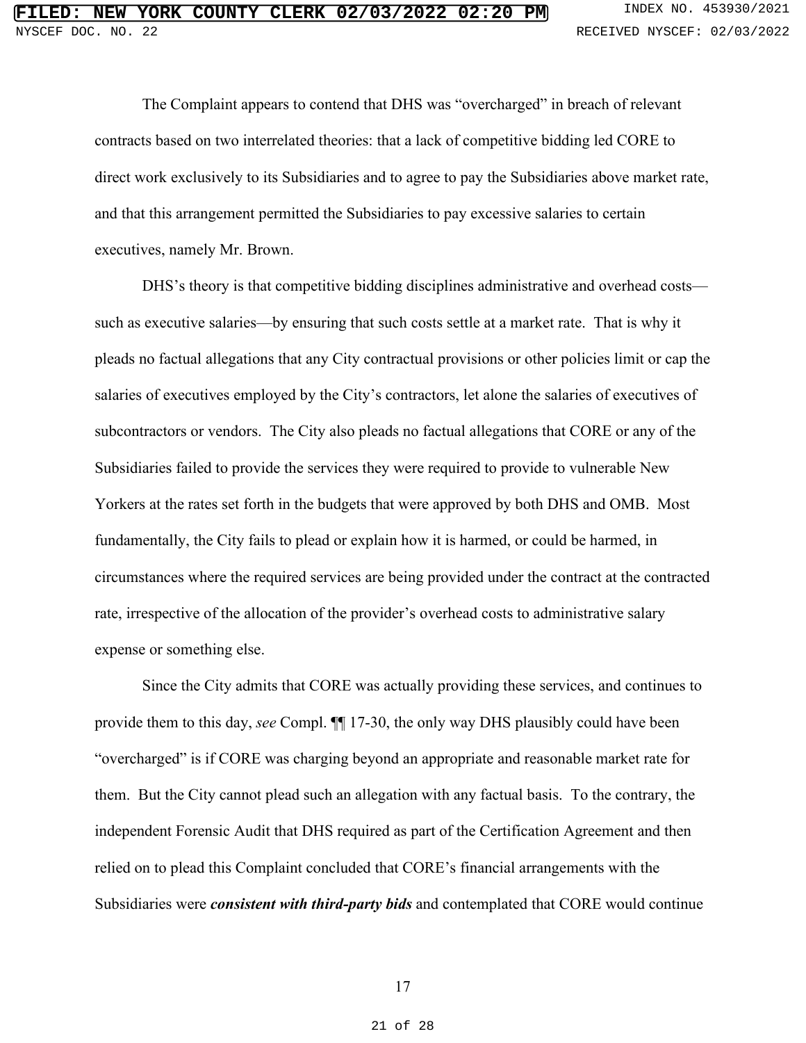The Complaint appears to contend that DHS was "overcharged" in breach of relevant The Complaint appears to contend that DHS was "overcharged" in breach of relevant contracts based on two interrelated theories: that a lack of competitive bidding led CORE to contracts based on two interrelated theories: that a lack of competitive bidding led CORE to<br>direct work exclusively to its Subsidiaries and to agree to pay the Subsidiaries above market rate, and that this arrangement permitted the Subsidiaries to pay excessive salaries to certain executives, namely Mr. Brown. and that this arrangement permitted the Subsidiaries to pay excessive salaries to certain<br>executives, namely Mr. Brown.<br>DHS's theory is that competitive bidding disciplines administrative and overhead costs—

such as executive salaries—by ensuring that such costs settle at a market rate. That is why it such as executive salaries—by ensuring that such costs settle at a market rate. That is why it<br>pleads no factual allegations that any City contractual provisions or other policies limit or cap the salaries of executives employed by the City's contractors, let alone the salaries of executives of salaries of executives employed by the City's contractors, let alone the salaries of executives of subcontractors or vendors. The City also pleads no factual allegations that CORE or any of the subcontractors or vendors. The City also pleads no factual allegations that CORE or any of the<br>Subsidiaries failed to provide the services they were required to provide to vulnerable New Yorkers at the rates set forth in the budgets that were approved by both DHS and OMB. Most fundamentally, the City fails to plead or explain how it is harmed, or could be harmed, in Yorkers at the rates set forth in the budgets that were approved by both DHS and OMB. Most<br>fundamentally, the City fails to plead or explain how it is harmed, or could be harmed, in<br>circumstances where the required service rate, irrespective of the allocation of the provider's overhead costs to administrative salary expense or something else. expense or something else.

Since the City admits that CORE was actually providing these services, and continues to Since the City admits that CORE was actually providing these services, and continues to provide them to this day, see Compl. ¶¶ 17-30, the only way DHS plausibly could have been provide them to this day, *see* Compl. ¶¶ 17-30, the only way DHS plausibly could have been "overcharged" is if CORE was charging beyond an appropriate and reasonable market rate for them. But the City cannot plead such an allegation with any factual basis. To the contrary, the "overcharged" is if CORE was charging beyond an appropriate and reasonable market rate for<br>them. But the City cannot plead such an allegation with any factual basis. To the contrary, the<br>independent Forensic Audit that DHS relied on to plead this Complaint concluded that CORE's financial arrangements with the relied on to plead this Complaint concluded that CORE's financial arrangements with the<br>Subsidiaries were *consistent with third-party bids* and contemplated that CORE would continue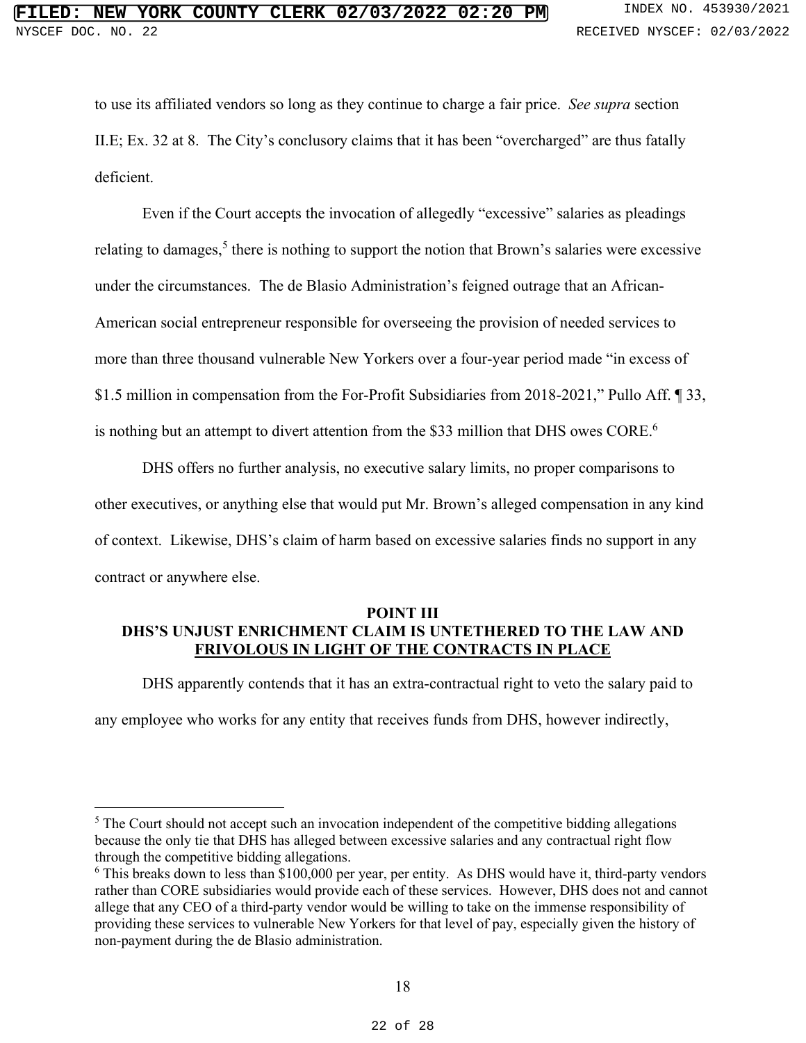to use its affiliated vendors so long as they continue to charge a fair price. See supra section to use its affiliated vendors so long as they continue to charge a fair price. *See supra* section II.E; Ex. 32 at 8. The City's conclusory claims that it has been "overcharged" are thus fatally deficient.

Even if the Court accepts the invocation of allegedly "excessive" salaries as pleadings II.E; Ex. 32 at 8. The City's conclusory claims that it has been "overcharged" are thus fatally<br>deficient.<br>Even if the Court accepts the invocation of allegedly "excessive" salaries as pleadings<br>relating to damages,<sup>5</sup> the under the circumstances. The de Blasio Administration's feigned outrage that an African-American social entrepreneur responsible for overseeing the provision of needed services to more than three thousand vulnerable New Yorkers over a four-year period made "in excess of \$1.5 million in compensation from the For-Profit Subsidiaries from 2018-2021," Pullo Aff. ¶ 33, is nothing but an attempt to divert attention from the \$33 million that DHS owes CORE.<sup>6</sup> relating to damages,<sup>5</sup> there is nothing to support the notion that Brown's salaries were excessive<br>under the circumstances. The de Blasio Administration's feigned outrage that an African-American social entrepreneur responsible for overseeing the provision of needed services to<br>more than three thousand vulnerable New Yorkers over a four-year period made "in excess of<br>\$1.5 million in compensation from the F **FILED: Non-Vale Country CLERK 02/03/2022 02:10** also the decrease of the definition of the definition. CONFINST CLERK COUNTRY CONTROLLATION (FILED) and the definition. FILED (Section and payment during the definition of

DHS offers no further analysis, no executive salary limits, no proper comparisons to DHS offers no further analysis, no executive salary limits, no proper comparisons to other executives, or anything else that would put Mr. Brown's alleged compensation in any kind of context. Likewise, DHS's claim of harm based on excessive salaries finds no support in any contract or anywhere else. other executives, or anything else that would put Mr. Brown's alleged compensation in any kind of context. Likewise, DHS's claim of harm based on excessive salaries finds no support in any contract or anywhere else.

#### <span id="page-21-0"></span>POINT III **POINT III**  DHS'S UNJUST ENRICHMENT CLAIM IS UNTETHERED TO THE LAW AND **DHS'S UNJUST ENRICHMENT CLAIM IS UNTETHERED TO THE LAW AND**  FRIVOLOUS IN LIGHT OF THE CONTRACTS IN PLACE **FRIVOLOUS IN LIGHT OF THE CONTRACTS IN PLACE**

DHS apparently contends that it has an extra-contractual right to veto the salary paid to

DHS apparently contends that it has an extra-contractual right to veto the salary paid to<br>any employee who works for any entity that receives funds from DHS, however indirectly,

 $5$  The Court should not accept such an invocation independent of the competitive bidding allegations  $5$  The Court should not accept such an invocation independent of the competitive bidding allegations because the only tie that DHS has alleged between excessive salaries and any contractual right flow through the competitive bidding allegations. through the competitive bidding allegations.

 $6$  This breaks down to less than \$100,000 per year, per entity. As DHS would have it, third-party vendors rather than CORE subsidiaries would provide each of these services. However, DHS does not and cannot rather than CORE subsidiaries would provide each of these services. However, DHS does not and cannot allege that any CEO of a third-party vendor would be willing to take on the immense responsibility of allege that any CEO of a third-party vendor would be willing to take on the immense responsibility of providing these services to vulnerable New Yorkers for that level of pay, especially given the history of providing these services to vulnerable New Yorkers for that level of pay, especially given the history of non-payment during the de Blasio administration.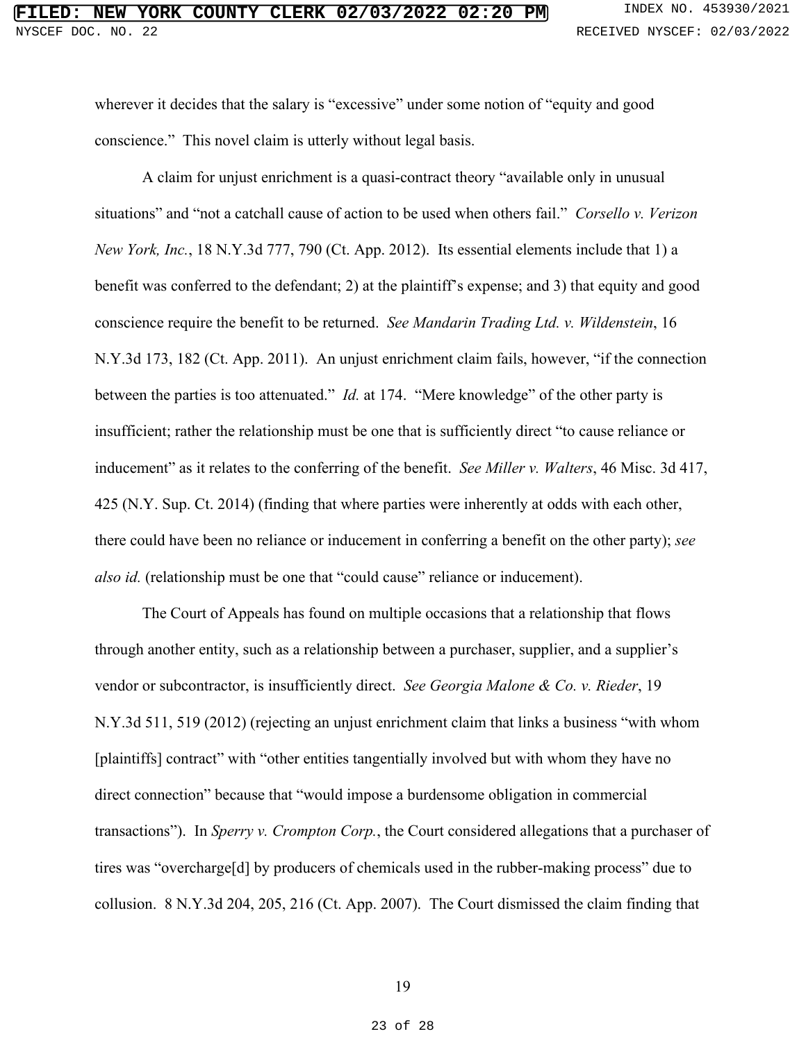wherever it decides that the salary is "excessive" under some notion of "equity and good wherever it decides that the salary is "excessive" under some notion of "equity and good conscience." This novel claim is utterly without legal basis.

<span id="page-22-2"></span><span id="page-22-0"></span>A claim for unjust enrichment is a quasi-contract theory "available only in unusual situations" and "not a catchall cause of action to be used when others fail." Corsello v. Verizon New York, Inc., 18 N.Y.3d 777, 790 (Ct. App. 2012). Its essential elements include that 1) a benefit was conferred to the defendant; 2) at the plaintiff's expense; and 3) that equity and good conscience require the benefit to be returned. See Mandarin Trading Ltd. v. Wildenstein, 16 conscience require the benefit to be returned. *See Mandarin Trading Ltd. v. Wildenstein*, 16 N.Y.3d 173, 182 (Ct. App. 2011). An unjust enrichment claim fails, however, "if the connection between the parties is too attenuated." *Id.* at 174. "Mere knowledge" of the other party is N.Y.3d 173, 182 (Ct. App. 2011). An unjust enrichment claim fails, however, "if the connection<br>between the parties is too attenuated." *Id.* at 174. "Mere knowledge" of the other party is<br>insufficient; rather the relations inducement" as it relates to the conferring of the benefit. See Miller v. Walters, 46 Misc. 3d 417, inducement" as it relates to the conferring of the benefit. *See Miller v. Walters*, 46 Misc. 3d 417, 425 (N.Y. Sup. Ct. 2014) (finding that where parties were inherently at odds with each other, 425 (N.Y. Sup. Ct. 2014) (finding that where parties were inherently at odds with each other,<br>there could have been no reliance or inducement in conferring a benefit on the other party); see also id. (relationship must be one that "could cause" reliance or inducement). conscience." This novel claim is utterly without legal basis.<br>A claim for unjust enrichment is a quasi-contract theory "available only in unusual<br>situations" and "not a catchall cause of action to be used when others fail.

<span id="page-22-3"></span><span id="page-22-1"></span>The Court of Appeals has found on multiple occasions that a relationship that flows also id. (relationship must be one that "could cause" reliance or inducement).<br>The Court of Appeals has found on multiple occasions that a relationship that flows<br>through another entity, such as a relationship between a pu vendor or subcontractor, is insufficiently direct. See Georgia Malone & Co. v. Rieder, 19 vendor or subcontractor, is insufficiently direct. *See Georgia Malone & Co. v. Rieder*, 19<br>N.Y.3d 511, 519 (2012) (rejecting an unjust enrichment claim that links a business "with whom [plaintiffs] contract" with "other entities tangentially involved but with whom they have no direct connection" because that "would impose a burdensome obligation in commercial [plaintiffs] contract" with "other entities tangentially involved but with whom they have no<br>direct connection" because that "would impose a burdensome obligation in commercial<br>transactions"). In *Sperry v. Crompton Corp.* tires was "overcharge[d] by producers of chemicals used in the rubber-making process" due to tires was "overcharge[d] by producers of chemicals used in the rubber-making process" due to<br>collusion. 8 N.Y.3d 204, 205, 216 (Ct. App. 2007). The Court dismissed the claim finding that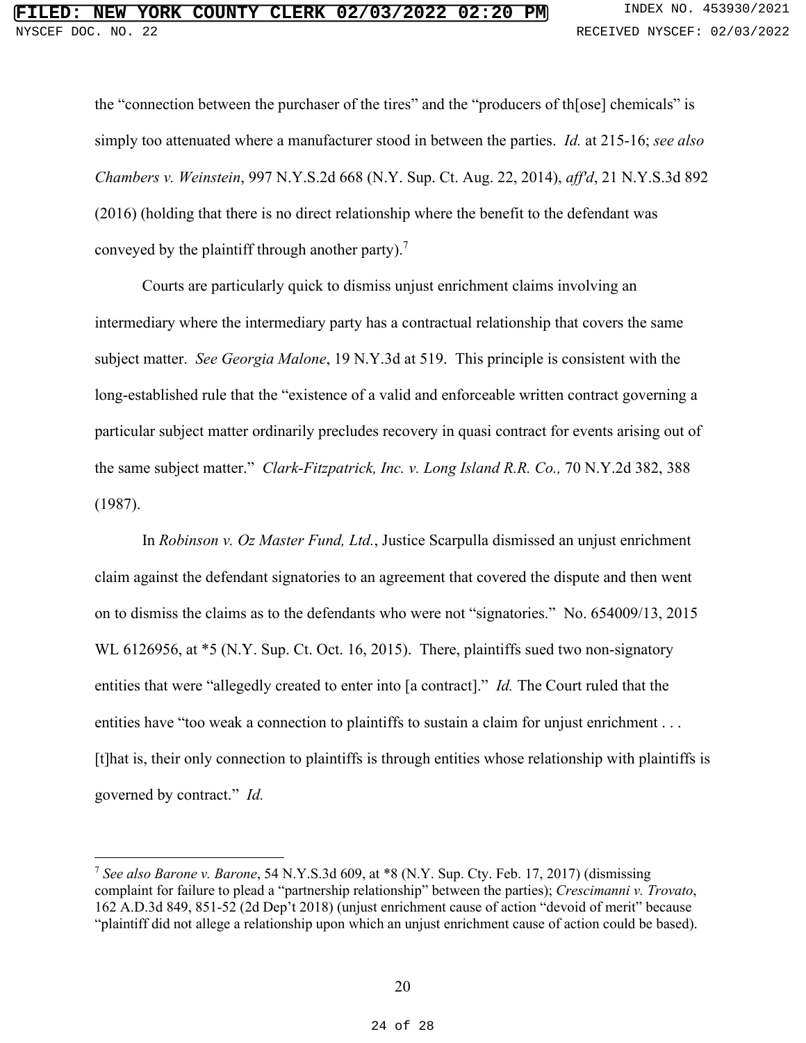<span id="page-23-1"></span>the "connection between the purchaser of the tires" and the "producers of th[ose] chemicals" is the "connection between the purchaser of the tires" and the "producers of th[ose] chemicals" is simply too attenuated where a manufacturer stood in between the parties. *Id.* at 215-16; see also Chambers v. Weinstein, 997 N.Y.S.2d 668 (N.Y. Sup. Ct. Aug. 22, 2014), aff'd, 21 N.Y.S.3d 892 (2016) (holding that there is no direct relationship where the benefit to the defendant was conveyed by the plaintiff through another party).<sup>7</sup> simply too attenuated where a manufacturer stood in between the parties. *Id.* at 215-16; *see also*<br>Chambers v. Weinstein, 997 N.Y.S.2d 668 (N.Y. Sup. Ct. Aug. 22, 2014), aff'd, 21 N.Y.S.3d 892<br>(2016) (holding that there

<span id="page-23-4"></span><span id="page-23-2"></span>Courts are particularly quick to dismiss unjust enrichment claims involving an intermediary where the intermediary party has a contractual relationship that covers the same subject matter. See Georgia Malone, 19 N.Y.3d at 519. This principle is consistent with the long-established rule that the "existence of a valid and enforceable written contract governing a Courts are particularly quick to dismiss unjust enrichment claims involving an<br>intermediary where the intermediary party has a contractual relationship that covers the same<br>subject matter. *See Georgia Malone*, 19 N.Y.3d a the same subject matter." Clark-Fitzpatrick, Inc. v. Long Island R.R. Co., 70 N.Y.2d 382, 388 the same subject matter." *Clark-Fitzpatrick, Inc. v. Long Island R.R. Co.,* 70 N.Y.2d 382, 388 (1987).

In Robinson v. Oz Master Fund, Ltd., Justice Scarpulla dismissed an unjust enrichment claim against the defendant signatories to an agreement that covered the dispute and then went on to dismiss the claims as to the defendants who were not "signatories." No. 654009/13, 2015 WL 6126956, at \*5 (N.Y. Sup. Ct. Oct. 16, 2015). There, plaintiffs sued two non-signatory entities that were "allegedly created to enter into [a contract]." *Id.* The Court ruled that the entities have "too weak a connection to plaintiffs to sustain a claim for unjust enrichment . . . [t]hat is, their only connection to plaintiffs is through entities whose relationship with plaintiffs is governed by contract." Id. (1987).<br>In *Robinson v. Oz Master Fund, Ltd.*, Justice Scarpulla dismissed an unjust enrichment<br>claim against the defendant signatories to an agreement that covered the dispute and then went<br>on to dismiss the claims as to **PLAISM COUNTY CLEER 02/03/2022 02:20 FILED: RELATION RELATION EXCEPT EXCEPT EXCEPT EXCEPT EXCEPT EXCEPT EXCEPT EXCEPT EXCEPT EXCEPT EXCEPT EXCEPT EXCEPT EXCEPT EXCEPT COUNTY COUNTY** 

<span id="page-23-3"></span><span id="page-23-0"></span><sup>7</sup> See also Barone v. Barone, 54 N.Y.S.3d 609, at \*8 (N.Y. Sup. Cty. Feb. 17, 2017) (dismissing <sup>7</sup> *See also Barone v. Barone*, 54 N.Y.S.3d 609, at \*8 (N.Y. Sup. Cty. Feb. 17, 2017) (dismissing complaint for failure to plead a "partnership relationship" between the parties); Crescimanni v. Trovato, complaint for failure to plead a "partnership relationship" between the parties); Crescimanni v. Trovato, 162 A.D.3d 849, 851-52 (2d Dep't 2018) (unjust enrichment cause of action "devoid of merit" because "plaintiff did not allege a relationship upon which an unjust enrichment cause of action could be based).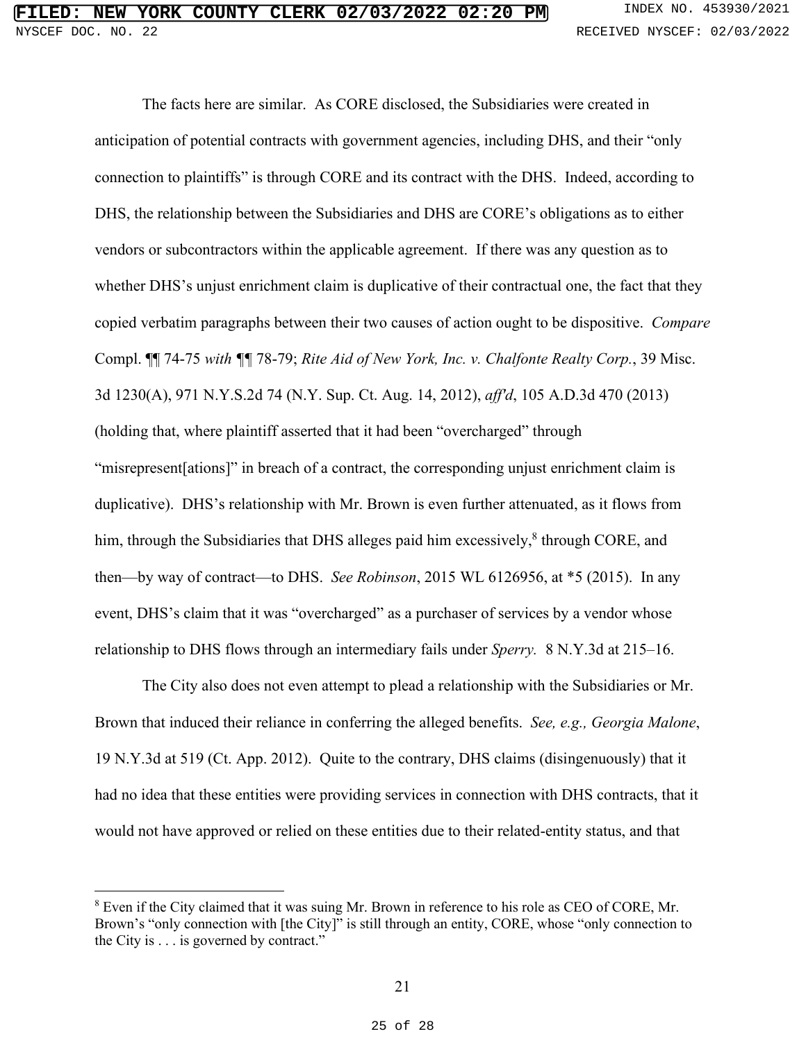<span id="page-24-1"></span>The facts here are similar. As CORE disclosed, the Subsidiaries were created in The facts here are similar. As CORE disclosed, the Subsidiaries were created in anticipation of potential contracts with government agencies, including DHS, and their "only anticipation of potential contracts with government agencies, including DHS, and their "only<br>connection to plaintiffs" is through CORE and its contract with the DHS. Indeed, according to DHS, the relationship between the Subsidiaries and DHS are CORE's obligations as to either vendors or subcontractors within the applicable agreement. If there was any question as to DHS, the relationship between the Subsidiaries and DHS are CORE's obligations as to either<br>vendors or subcontractors within the applicable agreement. If there was any question as to<br>whether DHS's unjust enrichment claim is copied verbatim paragraphs between their two causes of action ought to be dispositive. Compare copied verbatim paragraphs between their two causes of action ought to be dispositive. *Compare* Compl. **1** 74-75 with **11** 78-79; *Rite Aid of New York, Inc. v. Chalfonte Realty Corp.*, 39 Misc.<br>3d 1230(A), 971 N.Y.S.2d 74 (N.Y. Sup. Ct. Aug. 14, 2012), *aff'd*, 105 A.D.3d 470 (2013)<br>(holding that, where plaintiff as 3d 1230(A), 971 N.Y.S.2d 74 (N.Y. Sup. Ct. Aug. 14, 2012), affd, 105 A.D.3d 470 (2013) (holding that, where plaintiff asserted that it had been "overcharged" through "misrepresent[ations]" in breach of a contract, the corresponding unjust enrichment claim is duplicative). DHS's relationship with Mr. Brown is even further attenuated, as it flows from duplicative). DHS's relationship with Mr. Brown is even further attenuated, as it flows from<br>him, through the Subsidiaries that DHS alleges paid him excessively,<sup>8</sup> through CORE, and then—by way of contract—to DHS. See Robinson, 2015 WL 6126956, at \*5 (2015). In any event, DHS's claim that it was "overcharged" as a purchaser of services by a vendor whose relationship to DHS flows through an intermediary fails under Sperry. 8 N.Y.3d at 215-16. relationship to DHS flows through an intermediary fails under *Sperry.* 8 N.Y.3d at 215–16. him, through the Subsidiaries that DHS alleges paid him excessively,<sup>8</sup> through CORE, and<br>then—by way of contract—to DHS. *See Robinson*, 2015 WL 6126956, at \*5 (2015). In any<br>event, DHS's claim that it was "overcharged" a

<span id="page-24-0"></span>The City also does not even attempt to plead a relationship with the Subsidiaries or Mr. The City also does not even attempt to plead a relationship with the Subsidiaries or Mr.<br>Brown that induced their reliance in conferring the alleged benefits. See, e.g., Georgia Malone, 19 N.Y.3d at 519 (Ct. App. 2012). Quite to the contrary, DHS claims (disingenuously) that it had no idea that these entities were providing services in connection with DHS contracts, that it would not have approved or relied on these entities due to their related-entity status, and that 19 N.Y.3d at 519 (Ct. App. 2012). Quite to the contrary, DHS claims (disingenuously) that it<br>had no idea that these entities were providing services in connection with DHS contracts, that it<br>would not have approved or reli

Even if the City claimed that it was suing Mr. Brown in reference to his role as CEO of CORE, Mr. 8 Even if the City claimed that it was suing Mr. Brown in reference to his role as CEO of CORE, Mr. Brown's "only connection with [the City]" is still through an entity, CORE, whose "only connection to the City is . . . is governed by contract." the City is . . . is governed by contract."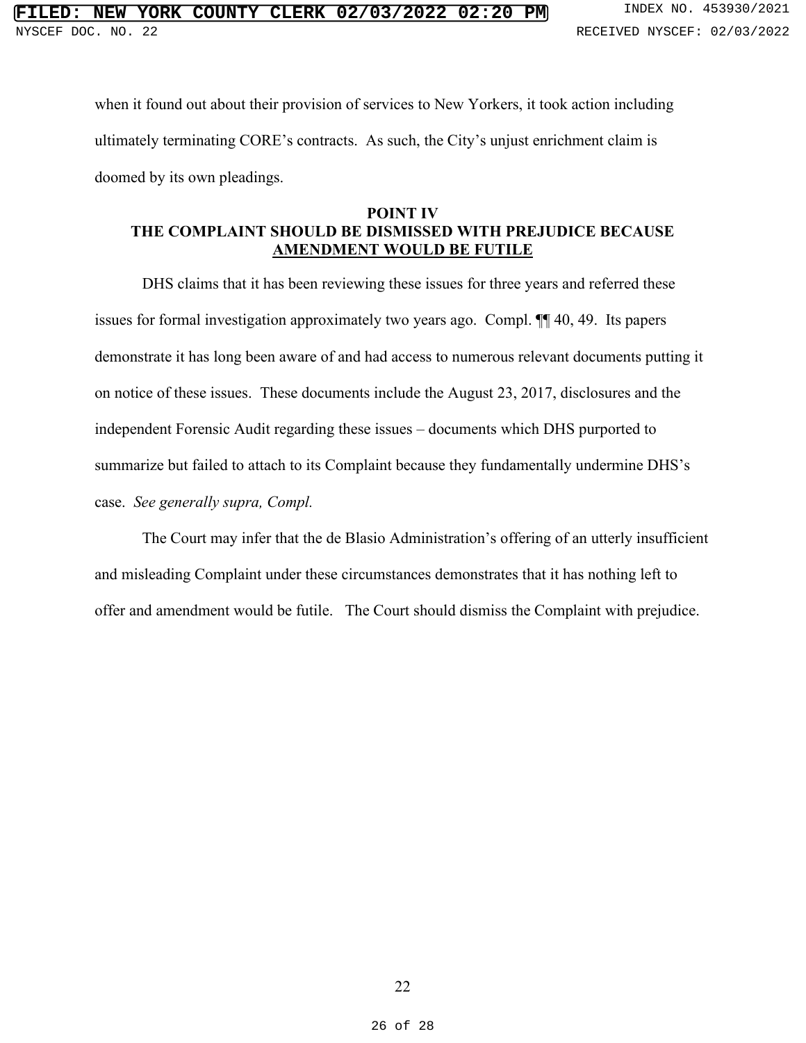when it found out about their provision of services to New Yorkers, it took action including when it found out about their provision of services to New Yorkers, it took action including ultimately terminating CORE's contracts. As such, the City's unjust enrichment claim is doomed by its own pleadings. doomed by its own pleadings.

#### <span id="page-25-0"></span>POINT IV THE COMPLAINT SHOULD BE DISMISSED WITH PREJUDICE BECAUSE AMENDMENT WOULD BE FUTILE **POINT IV<br>THE COMPLAINT SHOULD BE DISMISSED WITH PREJUDICE BECAUSE<br>AMENDMENT WOULD BE FUTILE**

DHS claims that it has been reviewing these issues for three years and referred these DHS claims that it has been reviewing these issues for three years and referred these issues for formal investigation approximately two years ago. Compl. ¶¶ 40, 49. Its papers issues for formal investigation approximately two years ago. Compl. ¶¶ 40, 49. Its papers demonstrate it has long been aware of and had access to numerous relevant documents putting it on notice of these issues. These documents include the August 23, 2017, disclosures and the independent Forensic Audit regarding these issues — documents which DHS purported to demonstrate it has long been aware of and had access to numerous relevant documents putting it<br>on notice of these issues. These documents include the August 23, 2017, disclosures and the<br>independent Forensic Audit regardin case. See generally supra, Compl. case. *See generally supra, Compl.*  **PTLED: NEW YORK COUNTY CLERK 02/03/2022 02:20 FORM EXECUTE THE SECUTE OF A 23930/2023**<br> **EXECUTE THE SECUTE OF A 23930/2023**<br> **EXECUTE AND RESPONSE TO A 23930/2023**<br> **EXECUTE ADDEDING CORE SCOND OF SECUTE ON VORTER I** 

The Court may infer that the de Blasio Administration's offering of an utterly insufficient and misleading Complaint under these circumstances demonstrates that it has nothing left to offer and amendment would be futile. The Court should dismiss the Complaint with prejudice.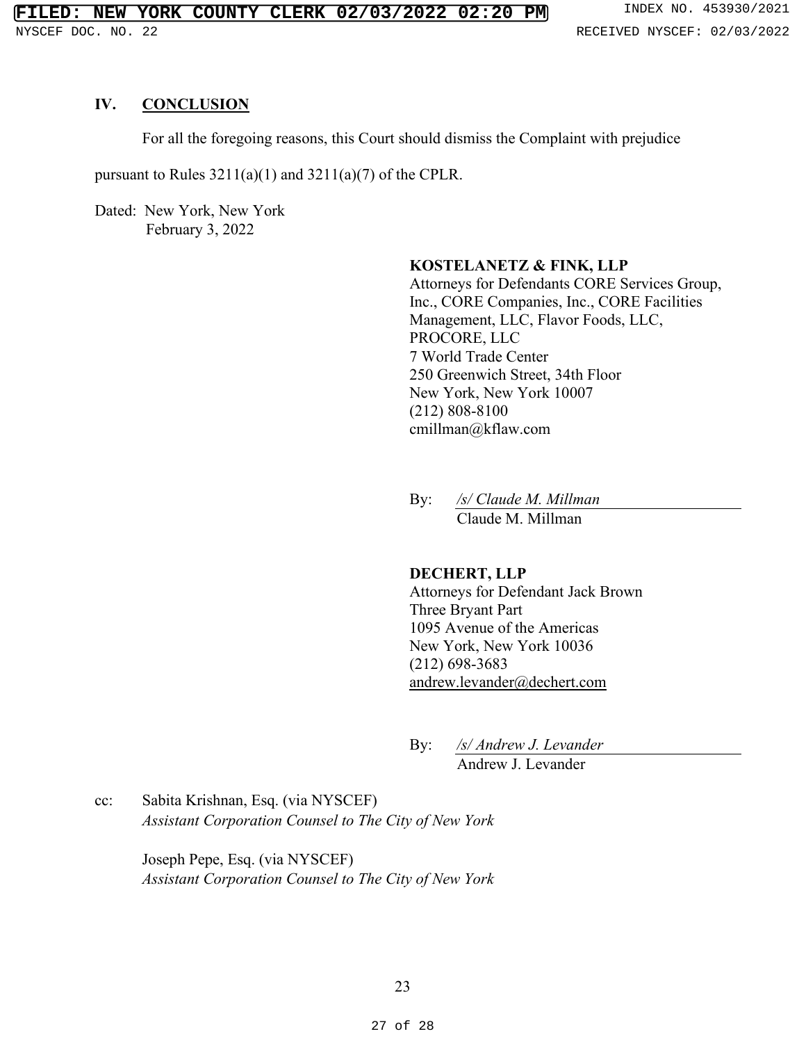#### <span id="page-26-0"></span>IV. CONCLUSION **IV. CONCLUSION**

For all the foregoing reasons, this Court should dismiss the Complaint with prejudice<br>pursuant to Rules 3211(a)(1) and 3211(a)(7) of the CPLR.<br>Dated: New York, New York<br>February 3, 2022

pursuant to Rules  $3211(a)(1)$  and  $3211(a)(7)$  of the CPLR.

Dated: New York, New York February 3, 2022

#### KOSTELANETZ & FINK, LLP **KOSTELANETZ & FINK, LLP**

Attorneys for Defendants CORE Services Group, Attorneys for Defendants CORE Services Group, Inc., CORE Companies, Inc., CORE Facilities<br>Management, LLC, Flavor Foods, LLC,<br>PROCORE, LLC<br>7 World Trade Center Management, LLC, Flavor Foods, LLC, PROCORE, LLC 7 World Trade Center 250 Greenwich Street, 34th Floor New York, New York 10007 (212) 808-8100 cmillman@kflaw.com 250 Greenwich Street, 34th Floor New York, New York 10007 (212) 808-8100 [cmillman@kflaw.com](mailto:cmillman@kflaw.com) By: */s/ Claude M. Millman*

By:  $\frac{s}{C}$  Claude M. Millman Claude M. Millman Claude M. Millman

#### DECHERT, LLP **DECHERT, LLP**

Attorneys for Defendant Jack Brown Attorneys for Defendant Jack Brown Three Bryant Part 1095 Avenue of the Americas New York, New York 10036 (212) 698-3683 Three Bryant Part 1095 Avenue of the Americas New York, New York 10036 (212) 698-3683

andrew.levander@dechert.com andrew.levander@dechert.com By: */s/ Andrew J. Levander* By: /s/ Andrew J. Levander Andrew J. Levander Andrew J. Levander

cc: Sabita Krishnan, Esq. (via NYSCEF) cc: Sabita Krishnan, Esq. (via NYSCEF) Assistant Corporation Counsel to The City of New York *Assistant Corporation Counsel to The City of New York* 

> Joseph Pepe, Esq. (via NYSCEF) Joseph Pepe, Esq. (via NYSCEF) Assistant Corporation Counsel to The City of New York *Assistant Corporation Counsel to The City of New York*